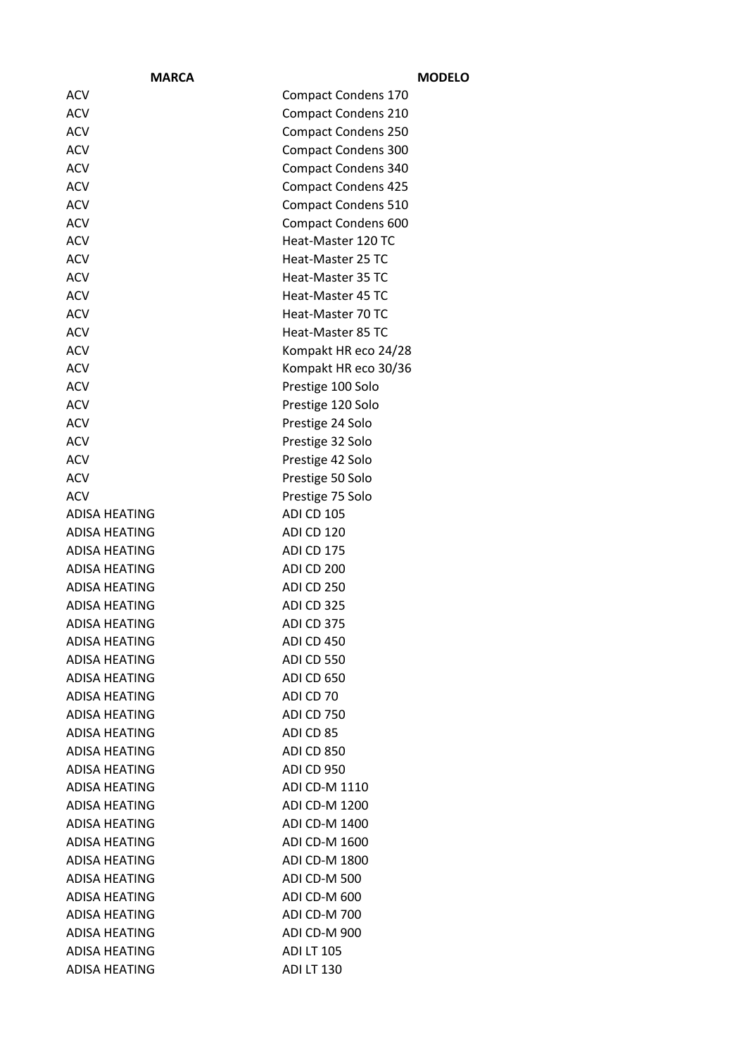| <b>MARCA</b>         |                            | <b>MODELO</b> |
|----------------------|----------------------------|---------------|
| <b>ACV</b>           | <b>Compact Condens 170</b> |               |
| <b>ACV</b>           | <b>Compact Condens 210</b> |               |
| <b>ACV</b>           | <b>Compact Condens 250</b> |               |
| <b>ACV</b>           | <b>Compact Condens 300</b> |               |
| <b>ACV</b>           | <b>Compact Condens 340</b> |               |
| <b>ACV</b>           | <b>Compact Condens 425</b> |               |
| <b>ACV</b>           | <b>Compact Condens 510</b> |               |
| <b>ACV</b>           | <b>Compact Condens 600</b> |               |
| <b>ACV</b>           | Heat-Master 120 TC         |               |
| <b>ACV</b>           | Heat-Master 25 TC          |               |
| <b>ACV</b>           | Heat-Master 35 TC          |               |
| <b>ACV</b>           | Heat-Master 45 TC          |               |
| <b>ACV</b>           | Heat-Master 70 TC          |               |
| <b>ACV</b>           | Heat-Master 85 TC          |               |
| <b>ACV</b>           | Kompakt HR eco 24/28       |               |
| <b>ACV</b>           | Kompakt HR eco 30/36       |               |
| <b>ACV</b>           | Prestige 100 Solo          |               |
| <b>ACV</b>           | Prestige 120 Solo          |               |
| <b>ACV</b>           | Prestige 24 Solo           |               |
| <b>ACV</b>           | Prestige 32 Solo           |               |
| <b>ACV</b>           | Prestige 42 Solo           |               |
| <b>ACV</b>           | Prestige 50 Solo           |               |
| <b>ACV</b>           | Prestige 75 Solo           |               |
| ADISA HEATING        | <b>ADI CD 105</b>          |               |
| ADISA HEATING        | ADI CD 120                 |               |
| ADISA HEATING        | ADI CD 175                 |               |
| <b>ADISA HEATING</b> | ADI CD 200                 |               |
| ADISA HEATING        | ADI CD 250                 |               |
| ADISA HEATING        | <b>ADI CD 325</b>          |               |
| ADISA HEATING        | ADI CD 375                 |               |
| <b>ADISA HEATING</b> | <b>ADI CD 450</b>          |               |
| <b>ADISA HEATING</b> | <b>ADI CD 550</b>          |               |
| ADISA HEATING        | <b>ADI CD 650</b>          |               |
| <b>ADISA HEATING</b> | ADI CD 70                  |               |
| ADISA HEATING        | <b>ADI CD 750</b>          |               |
| ADISA HEATING        | ADI CD 85                  |               |
| ADISA HEATING        | <b>ADI CD 850</b>          |               |
| <b>ADISA HEATING</b> | <b>ADI CD 950</b>          |               |
| <b>ADISA HEATING</b> | ADI CD-M 1110              |               |
| ADISA HEATING        | ADI CD-M 1200              |               |
| ADISA HEATING        | ADI CD-M 1400              |               |
| ADISA HEATING        | ADI CD-M 1600              |               |
| ADISA HEATING        | ADI CD-M 1800              |               |
| ADISA HEATING        | <b>ADI CD-M 500</b>        |               |
| ADISA HEATING        | ADI CD-M 600               |               |
| ADISA HEATING        | ADI CD-M 700               |               |
| ADISA HEATING        | <b>ADI CD-M 900</b>        |               |
| <b>ADISA HEATING</b> | <b>ADI LT 105</b>          |               |
| ADISA HEATING        | <b>ADI LT 130</b>          |               |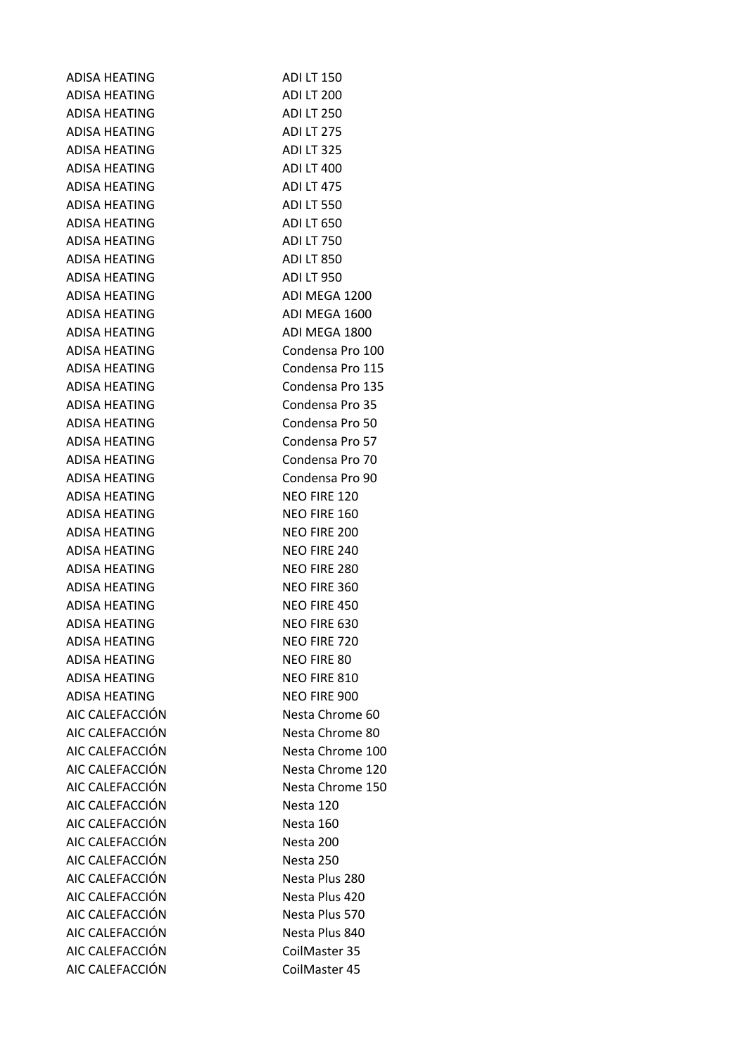| <b>ADISA HEATING</b> | <b>ADI LT 150</b> |
|----------------------|-------------------|
| ADISA HEATING        | <b>ADI LT 200</b> |
| ADISA HEATING        | <b>ADI LT 250</b> |
| <b>ADISA HEATING</b> | <b>ADILT 275</b>  |
| ADISA HEATING        | <b>ADI LT 325</b> |
| ADISA HEATING        | <b>ADI LT 400</b> |
| ADISA HEATING        | <b>ADI LT 475</b> |
| <b>ADISA HEATING</b> | <b>ADI LT 550</b> |
| <b>ADISA HEATING</b> | <b>ADI LT 650</b> |
| <b>ADISA HEATING</b> | <b>ADI LT 750</b> |
| ADISA HEATING        | <b>ADILT 850</b>  |
| ADISA HEATING        | <b>ADI LT 950</b> |
| <b>ADISA HEATING</b> | ADI MEGA 1200     |
| ADISA HEATING        | ADI MEGA 1600     |
| ADISA HEATING        | ADI MEGA 1800     |
| <b>ADISA HEATING</b> | Condensa Pro 100  |
| ADISA HEATING        | Condensa Pro 115  |
| ADISA HEATING        | Condensa Pro 135  |
| <b>ADISA HEATING</b> | Condensa Pro 35   |
| <b>ADISA HEATING</b> | Condensa Pro 50   |
| ADISA HEATING        | Condensa Pro 57   |
| <b>ADISA HEATING</b> | Condensa Pro 70   |
| <b>ADISA HEATING</b> | Condensa Pro 90   |
| ADISA HEATING        | NEO FIRE 120      |
| ADISA HEATING        | NEO FIRE 160      |
| ADISA HEATING        | NEO FIRE 200      |
| <b>ADISA HEATING</b> | NEO FIRE 240      |
| ADISA HEATING        | NEO FIRE 280      |
| ADISA HEATING        | NEO FIRE 360      |
| ADISA HEATING        | NEO FIRE 450      |
| ADISA HEATING        | NEO FIRE 630      |
| ADISA HEATING        | NEO FIRE 720      |
| <b>ADISA HEATING</b> | NEO FIRE 80       |
| <b>ADISA HEATING</b> | NEO FIRE 810      |
| <b>ADISA HEATING</b> | NEO FIRE 900      |
| AIC CALEFACCIÓN      | Nesta Chrome 60   |
| AIC CALEFACCIÓN      | Nesta Chrome 80   |
| AIC CALEFACCIÓN      | Nesta Chrome 100  |
| AIC CALEFACCIÓN      | Nesta Chrome 120  |
| AIC CALEFACCIÓN      | Nesta Chrome 150  |
| AIC CALEFACCIÓN      | Nesta 120         |
| AIC CALEFACCIÓN      | Nesta 160         |
| AIC CALEFACCIÓN      | Nesta 200         |
| AIC CALEFACCIÓN      | Nesta 250         |
| AIC CALEFACCIÓN      | Nesta Plus 280    |
| AIC CALEFACCIÓN      | Nesta Plus 420    |
| AIC CALEFACCIÓN      | Nesta Plus 570    |
| AIC CALEFACCIÓN      | Nesta Plus 840    |
| AIC CALEFACCIÓN      | CoilMaster 35     |
| AIC CALEFACCIÓN      | CoilMaster 45     |
|                      |                   |

| טכב ווע            |
|--------------------|
| <b>DI LT 200</b>   |
| DI LT 250          |
| DI LT 275          |
| DI LT 325          |
| DI LT 400          |
| DI LT 475          |
| DI LT 550          |
| DI LT 650          |
| DI LT 750          |
| DI LT 850          |
| DI LT 950          |
| DI MEGA 1200       |
| DI MEGA 1600       |
|                    |
| DI MEGA 1800       |
| ondensa Pro 100    |
| ondensa Pro 115    |
| ondensa Pro 135    |
| ondensa Pro 35     |
| ondensa Pro 50     |
| ondensa Pro 57     |
| ondensa Pro 70     |
| ondensa Pro 90     |
| <b>EO FIRE 120</b> |
| <b>EO FIRE 160</b> |
| <b>EO FIRE 200</b> |
| <b>EO FIRE 240</b> |
| <b>EO FIRE 280</b> |
| <b>EO FIRE 360</b> |
| <b>EO FIRE 450</b> |
| <b>EO FIRE 630</b> |
| <b>EO FIRE 720</b> |
| <b>EO FIRE 80</b>  |
| <b>EO FIRE 810</b> |
|                    |
| <b>EO FIRE 900</b> |
| lesta Chrome 60    |
| lesta Chrome 80    |
| lesta Chrome 100   |
| lesta Chrome 120   |
| lesta Chrome 150   |
| lesta 120          |
| lesta 160          |
| lesta 200          |
| lesta 250          |
| lesta Plus 280     |
| lesta Plus 420     |
| lesta Plus 570     |
| lesta Plus 840     |
| oilMaster 35       |
| oilMaster 45       |
|                    |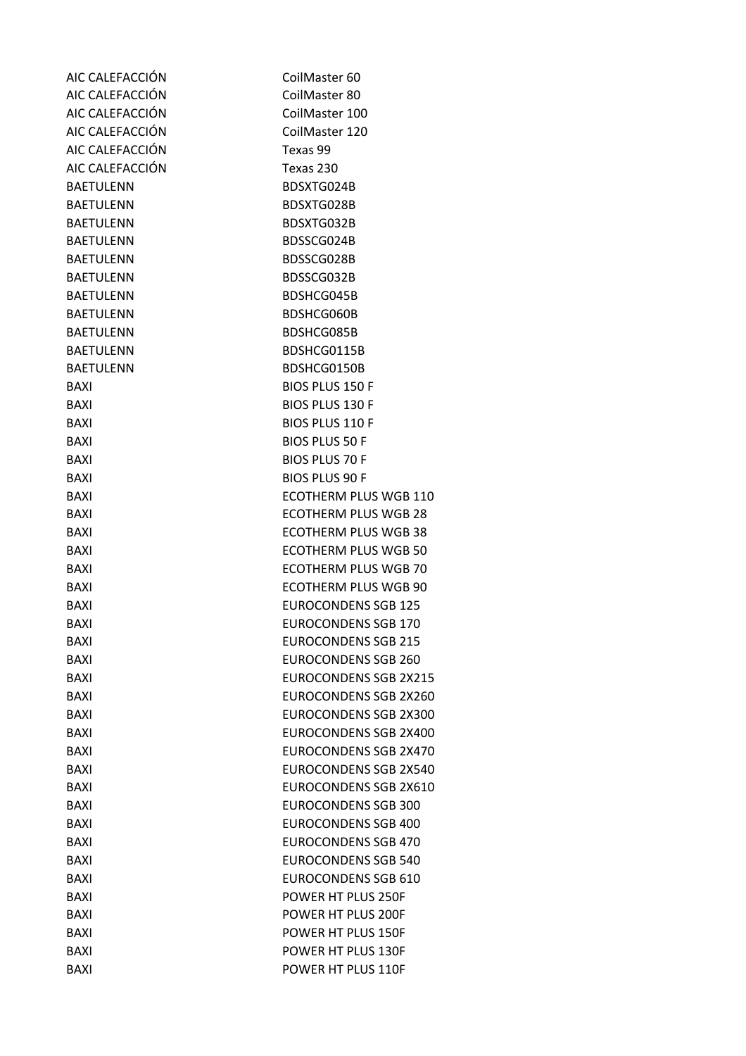| AIC CALEFACCIÓN  | CoilMaster 60                |
|------------------|------------------------------|
| AIC CALEFACCIÓN  | CoilMaster 80                |
| AIC CALEFACCIÓN  | CoilMaster 100               |
| AIC CALEFACCIÓN  | CoilMaster 120               |
| AIC CALEFACCIÓN  | Texas 99                     |
| AIC CALEFACCIÓN  | Texas 230                    |
| <b>BAETULENN</b> | BDSXTG024B                   |
| <b>BAETULENN</b> | BDSXTG028B                   |
| <b>BAETULENN</b> | BDSXTG032B                   |
| <b>BAETULENN</b> | BDSSCG024B                   |
| <b>BAETULENN</b> | BDSSCG028B                   |
| <b>BAETULENN</b> | BDSSCG032B                   |
| <b>BAETULENN</b> | BDSHCG045B                   |
| <b>BAETULENN</b> | BDSHCG060B                   |
| <b>BAETULENN</b> | BDSHCG085B                   |
| <b>BAETULENN</b> | BDSHCG0115B                  |
| <b>BAETULENN</b> | BDSHCG0150B                  |
| BAXI             | <b>BIOS PLUS 150 F</b>       |
| <b>BAXI</b>      | <b>BIOS PLUS 130 F</b>       |
| <b>BAXI</b>      | <b>BIOS PLUS 110 F</b>       |
| <b>BAXI</b>      | <b>BIOS PLUS 50 F</b>        |
| <b>BAXI</b>      | <b>BIOS PLUS 70 F</b>        |
| <b>BAXI</b>      | <b>BIOS PLUS 90 F</b>        |
| <b>BAXI</b>      | <b>ECOTHERM PLUS WGB 110</b> |
| <b>BAXI</b>      | <b>ECOTHERM PLUS WGB 28</b>  |
| <b>BAXI</b>      | <b>ECOTHERM PLUS WGB 38</b>  |
| BAXI             | <b>ECOTHERM PLUS WGB 50</b>  |
| <b>BAXI</b>      | <b>ECOTHERM PLUS WGB 70</b>  |
| <b>BAXI</b>      | <b>ECOTHERM PLUS WGB 90</b>  |
| <b>BAXI</b>      | <b>EUROCONDENS SGB 125</b>   |
| BAXI             | <b>EUROCONDENS SGB 170</b>   |
| <b>BAXI</b>      | <b>EUROCONDENS SGB 215</b>   |
| <b>BAXI</b>      | <b>EUROCONDENS SGB 260</b>   |
| <b>BAXI</b>      | <b>EUROCONDENS SGB 2X215</b> |
| <b>BAXI</b>      | <b>EUROCONDENS SGB 2X260</b> |
| <b>BAXI</b>      | <b>EUROCONDENS SGB 2X300</b> |
| <b>BAXI</b>      | <b>EUROCONDENS SGB 2X400</b> |
| <b>BAXI</b>      | <b>EUROCONDENS SGB 2X470</b> |
| BAXI             | <b>EUROCONDENS SGB 2X540</b> |
| <b>BAXI</b>      | <b>EUROCONDENS SGB 2X610</b> |
| <b>BAXI</b>      | <b>EUROCONDENS SGB 300</b>   |
| <b>BAXI</b>      | <b>EUROCONDENS SGB 400</b>   |
| <b>BAXI</b>      | <b>EUROCONDENS SGB 470</b>   |
| BAXI             | <b>EUROCONDENS SGB 540</b>   |
| <b>BAXI</b>      | <b>EUROCONDENS SGB 610</b>   |
| <b>BAXI</b>      | POWER HT PLUS 250F           |
| <b>BAXI</b>      | POWER HT PLUS 200F           |
| <b>BAXI</b>      | POWER HT PLUS 150F           |
|                  |                              |
| <b>BAXI</b>      | POWER HT PLUS 130F           |
| <b>BAXI</b>      | POWER HT PLUS 110F           |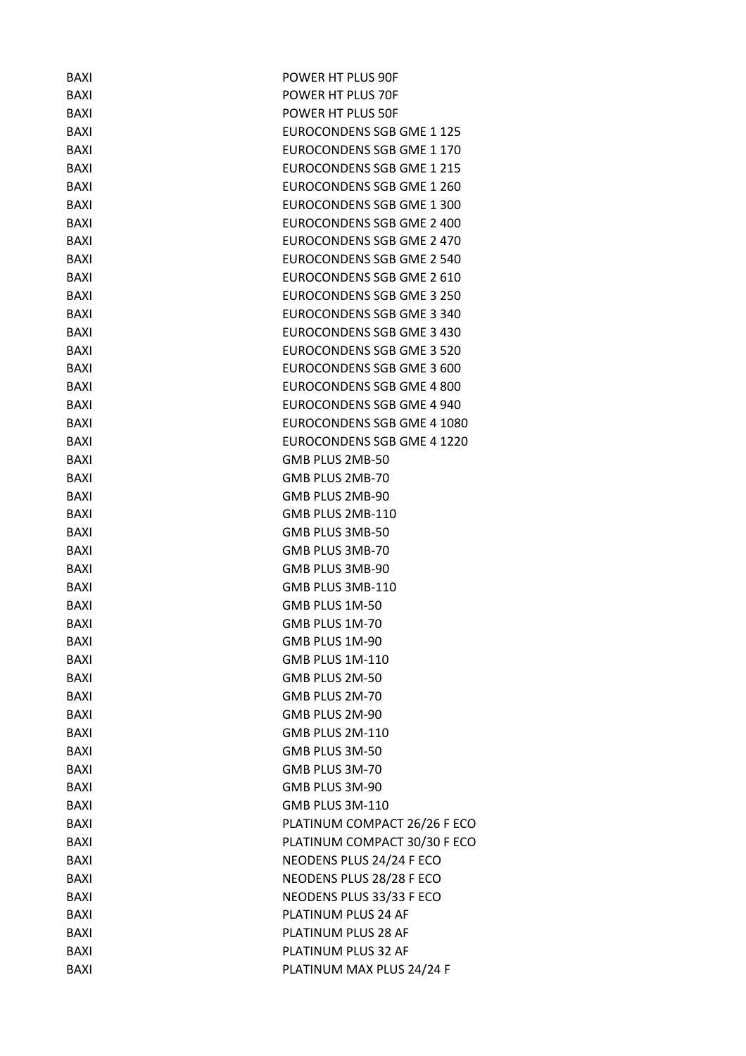| <b>BAXI</b> | POWER HT PLUS 90F                |
|-------------|----------------------------------|
| <b>BAXI</b> | POWER HT PLUS 70F                |
| <b>BAXI</b> | POWER HT PLUS 50F                |
| <b>BAXI</b> | EUROCONDENS SGB GME 1 125        |
| <b>BAXI</b> | EUROCONDENS SGB GME 1 170        |
| <b>BAXI</b> | EUROCONDENS SGB GME 1 215        |
| <b>BAXI</b> | EUROCONDENS SGB GME 1 260        |
| <b>BAXI</b> | <b>EUROCONDENS SGB GME 1 300</b> |
| <b>BAXI</b> | EUROCONDENS SGB GME 2 400        |
| <b>BAXI</b> | EUROCONDENS SGB GME 2 470        |
| <b>BAXI</b> | <b>EUROCONDENS SGB GME 2 540</b> |
| <b>BAXI</b> | EUROCONDENS SGB GME 2 610        |
| <b>BAXI</b> | EUROCONDENS SGB GME 3 250        |
| <b>BAXI</b> | EUROCONDENS SGB GME 3 340        |
| <b>BAXI</b> | <b>EUROCONDENS SGB GME 3 430</b> |
| <b>BAXI</b> | EUROCONDENS SGB GME 3 520        |
| <b>BAXI</b> | EUROCONDENS SGB GME 3 600        |
| <b>BAXI</b> | EUROCONDENS SGB GME 4 800        |
| <b>BAXI</b> | EUROCONDENS SGB GME 4 940        |
| <b>BAXI</b> | EUROCONDENS SGB GME 4 1080       |
| BAXI        | EUROCONDENS SGB GME 4 1220       |
| <b>BAXI</b> | GMB PLUS 2MB-50                  |
| <b>BAXI</b> | GMB PLUS 2MB-70                  |
| <b>BAXI</b> | GMB PLUS 2MB-90                  |
| BAXI        | GMB PLUS 2MB-110                 |
| <b>BAXI</b> | GMB PLUS 3MB-50                  |
| <b>BAXI</b> | GMB PLUS 3MB-70                  |
| <b>BAXI</b> | GMB PLUS 3MB-90                  |
| <b>BAXI</b> | GMB PLUS 3MB-110                 |
| <b>BAXI</b> | GMB PLUS 1M-50                   |
| BAXI        | GMB PLUS 1M-70                   |
| <b>BAXI</b> | GMB PLUS 1M-90                   |
| <b>BAXI</b> | GMB PLUS 1M-110                  |
| <b>BAXI</b> | GMB PLUS 2M-50                   |
| <b>BAXI</b> | GMB PLUS 2M-70                   |
| <b>BAXI</b> | GMB PLUS 2M-90                   |
| <b>BAXI</b> | GMB PLUS 2M-110                  |
| <b>BAXI</b> | GMB PLUS 3M-50                   |
| <b>BAXI</b> | GMB PLUS 3M-70                   |
| <b>BAXI</b> | GMB PLUS 3M-90                   |
| <b>BAXI</b> | GMB PLUS 3M-110                  |
| <b>BAXI</b> | PLATINUM COMPACT 26/26 F ECO     |
| <b>BAXI</b> | PLATINUM COMPACT 30/30 F ECO     |
| <b>BAXI</b> | NEODENS PLUS 24/24 F ECO         |
| <b>BAXI</b> | NEODENS PLUS 28/28 F ECO         |
| <b>BAXI</b> | NEODENS PLUS 33/33 F ECO         |
| <b>BAXI</b> | PLATINUM PLUS 24 AF              |
| <b>BAXI</b> | PLATINUM PLUS 28 AF              |
|             | PLATINUM PLUS 32 AF              |
| <b>BAXI</b> |                                  |
| <b>BAXI</b> | PLATINUM MAX PLUS 24/24 F        |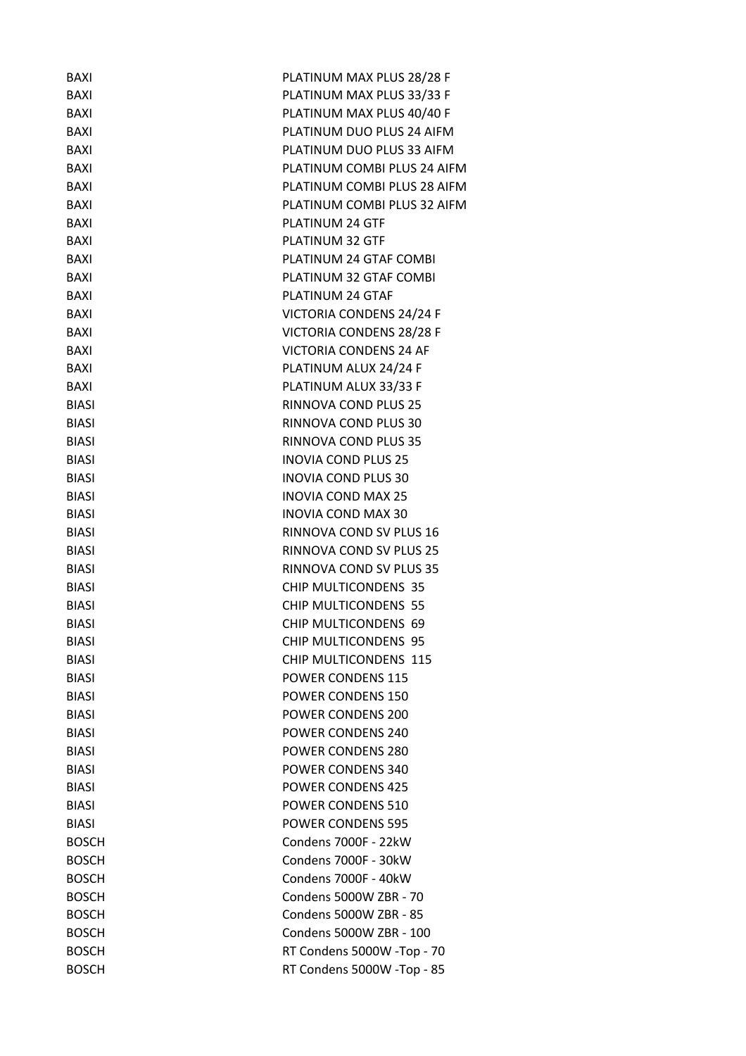| <b>BAXI</b>  | PLATINUM MAX PLUS 28/28 F     |
|--------------|-------------------------------|
| <b>BAXI</b>  | PLATINUM MAX PLUS 33/33 F     |
| <b>BAXI</b>  | PLATINUM MAX PLUS 40/40 F     |
| <b>BAXI</b>  | PLATINUM DUO PLUS 24 AIFM     |
| <b>BAXI</b>  | PLATINUM DUO PLUS 33 AIFM     |
| <b>BAXI</b>  | PLATINUM COMBI PLUS 24 AIFM   |
| <b>BAXI</b>  | PLATINUM COMBI PLUS 28 AIFM   |
| <b>BAXI</b>  | PLATINUM COMBI PLUS 32 AIFM   |
| <b>BAXI</b>  | PLATINUM 24 GTF               |
| <b>BAXI</b>  | PLATINUM 32 GTF               |
| BAXI         | PLATINUM 24 GTAF COMBI        |
| <b>BAXI</b>  | PLATINUM 32 GTAF COMBI        |
| <b>BAXI</b>  | PLATINUM 24 GTAF              |
| <b>BAXI</b>  | VICTORIA CONDENS 24/24 F      |
| <b>BAXI</b>  | VICTORIA CONDENS 28/28 F      |
| <b>BAXI</b>  | <b>VICTORIA CONDENS 24 AF</b> |
| <b>BAXI</b>  | PLATINUM ALUX 24/24 F         |
| <b>BAXI</b>  | PLATINUM ALUX 33/33 F         |
| <b>BIASI</b> | RINNOVA COND PLUS 25          |
| <b>BIASI</b> | RINNOVA COND PLUS 30          |
| <b>BIASI</b> | RINNOVA COND PLUS 35          |
| <b>BIASI</b> | <b>INOVIA COND PLUS 25</b>    |
| <b>BIASI</b> | <b>INOVIA COND PLUS 30</b>    |
| <b>BIASI</b> | <b>INOVIA COND MAX 25</b>     |
| <b>BIASI</b> | <b>INOVIA COND MAX 30</b>     |
| <b>BIASI</b> | RINNOVA COND SV PLUS 16       |
| <b>BIASI</b> | RINNOVA COND SV PLUS 25       |
| <b>BIASI</b> | RINNOVA COND SV PLUS 35       |
| <b>BIASI</b> | CHIP MULTICONDENS 35          |
| <b>BIASI</b> | <b>CHIP MULTICONDENS 55</b>   |
| <b>BIASI</b> | CHIP MULTICONDENS 69          |
| <b>BIASI</b> | CHIP MULTICONDENS 95          |
| <b>BIASI</b> | CHIP MULTICONDENS 115         |
| <b>BIASI</b> | <b>POWER CONDENS 115</b>      |
| <b>BIASI</b> | POWER CONDENS 150             |
| <b>BIASI</b> | <b>POWER CONDENS 200</b>      |
| <b>BIASI</b> | <b>POWER CONDENS 240</b>      |
| <b>BIASI</b> | <b>POWER CONDENS 280</b>      |
| <b>BIASI</b> | <b>POWER CONDENS 340</b>      |
| <b>BIASI</b> | <b>POWER CONDENS 425</b>      |
| <b>BIASI</b> | POWER CONDENS 510             |
| BIASI        | <b>POWER CONDENS 595</b>      |
| <b>BOSCH</b> | Condens 7000F - 22kW          |
| <b>BOSCH</b> | Condens 7000F - 30kW          |
| <b>BOSCH</b> | Condens 7000F - 40kW          |
| <b>BOSCH</b> | Condens 5000W ZBR - 70        |
| <b>BOSCH</b> | Condens 5000W ZBR - 85        |
| <b>BOSCH</b> | Condens 5000W ZBR - 100       |
|              |                               |
| <b>BOSCH</b> | RT Condens 5000W -Top - 70    |
| <b>BOSCH</b> | RT Condens 5000W -Top - 85    |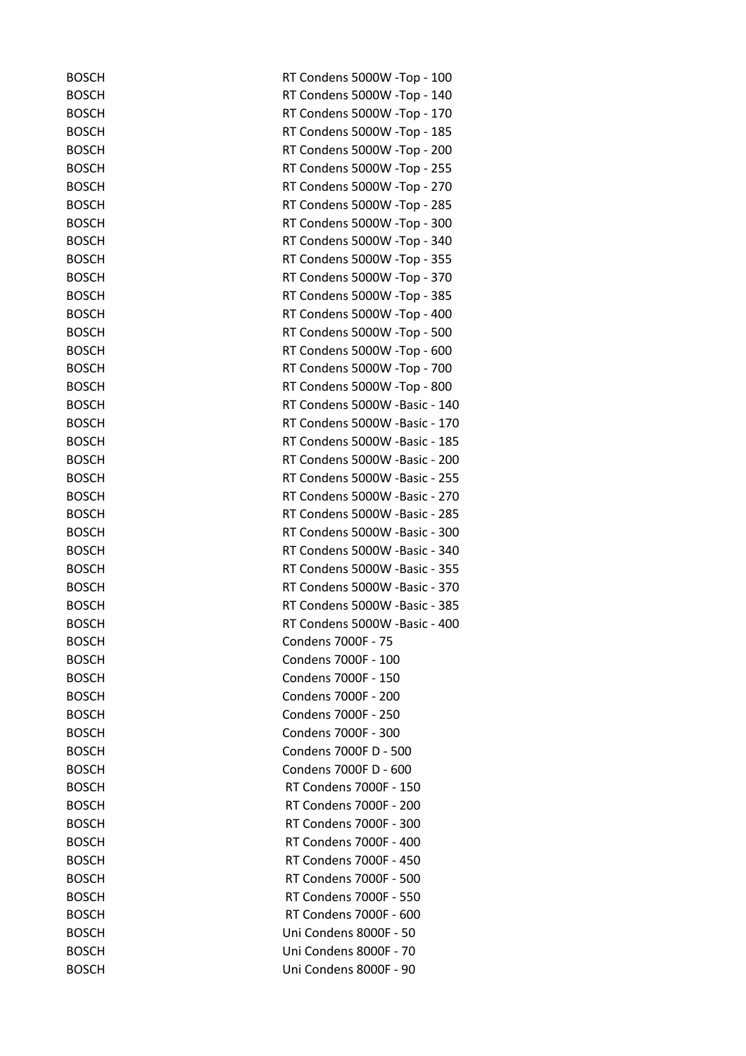| <b>BOSCH</b> | RT Condens 5000W -Top - 100   |
|--------------|-------------------------------|
| <b>BOSCH</b> | RT Condens 5000W -Top - 140   |
| <b>BOSCH</b> | RT Condens 5000W -Top - 170   |
| <b>BOSCH</b> | RT Condens 5000W -Top - 185   |
| <b>BOSCH</b> | RT Condens 5000W -Top - 200   |
| <b>BOSCH</b> | RT Condens 5000W -Top - 255   |
| <b>BOSCH</b> | RT Condens 5000W -Top - 270   |
| <b>BOSCH</b> | RT Condens 5000W -Top - 285   |
| <b>BOSCH</b> | RT Condens 5000W -Top - 300   |
| <b>BOSCH</b> | RT Condens 5000W -Top - 340   |
| <b>BOSCH</b> | RT Condens 5000W -Top - 355   |
| <b>BOSCH</b> | RT Condens 5000W -Top - 370   |
| <b>BOSCH</b> | RT Condens 5000W -Top - 385   |
| <b>BOSCH</b> | RT Condens 5000W -Top - 400   |
| <b>BOSCH</b> | RT Condens 5000W -Top - 500   |
| <b>BOSCH</b> | RT Condens 5000W -Top - 600   |
| <b>BOSCH</b> | RT Condens 5000W -Top - 700   |
| <b>BOSCH</b> | RT Condens 5000W -Top - 800   |
| <b>BOSCH</b> | RT Condens 5000W -Basic - 140 |
| <b>BOSCH</b> | RT Condens 5000W -Basic - 170 |
| <b>BOSCH</b> | RT Condens 5000W -Basic - 185 |
| <b>BOSCH</b> | RT Condens 5000W -Basic - 200 |
| <b>BOSCH</b> | RT Condens 5000W -Basic - 255 |
| <b>BOSCH</b> | RT Condens 5000W -Basic - 270 |
| <b>BOSCH</b> | RT Condens 5000W -Basic - 285 |
| <b>BOSCH</b> | RT Condens 5000W -Basic - 300 |
| <b>BOSCH</b> | RT Condens 5000W -Basic - 340 |
| <b>BOSCH</b> | RT Condens 5000W -Basic - 355 |
| <b>BOSCH</b> | RT Condens 5000W -Basic - 370 |
| <b>BOSCH</b> | RT Condens 5000W -Basic - 385 |
| <b>BOSCH</b> | RT Condens 5000W -Basic - 400 |
| <b>BOSCH</b> | Condens 7000F - 75            |
| <b>BOSCH</b> | Condens 7000F - 100           |
| <b>BOSCH</b> | Condens 7000F - 150           |
| <b>BOSCH</b> | Condens 7000F - 200           |
| <b>BOSCH</b> | Condens 7000F - 250           |
| <b>BOSCH</b> | Condens 7000F - 300           |
| <b>BOSCH</b> | Condens 7000F D - 500         |
| <b>BOSCH</b> | Condens 7000F D - 600         |
| <b>BOSCH</b> | RT Condens 7000F - 150        |
| <b>BOSCH</b> | RT Condens 7000F - 200        |
| <b>BOSCH</b> | RT Condens 7000F - 300        |
| <b>BOSCH</b> | RT Condens 7000F - 400        |
| <b>BOSCH</b> | RT Condens 7000F - 450        |
| <b>BOSCH</b> | RT Condens 7000F - 500        |
| <b>BOSCH</b> | RT Condens 7000F - 550        |
| <b>BOSCH</b> | RT Condens 7000F - 600        |
| <b>BOSCH</b> | Uni Condens 8000F - 50        |
| <b>BOSCH</b> | Uni Condens 8000F - 70        |
| <b>BOSCH</b> | Uni Condens 8000F - 90        |
|              |                               |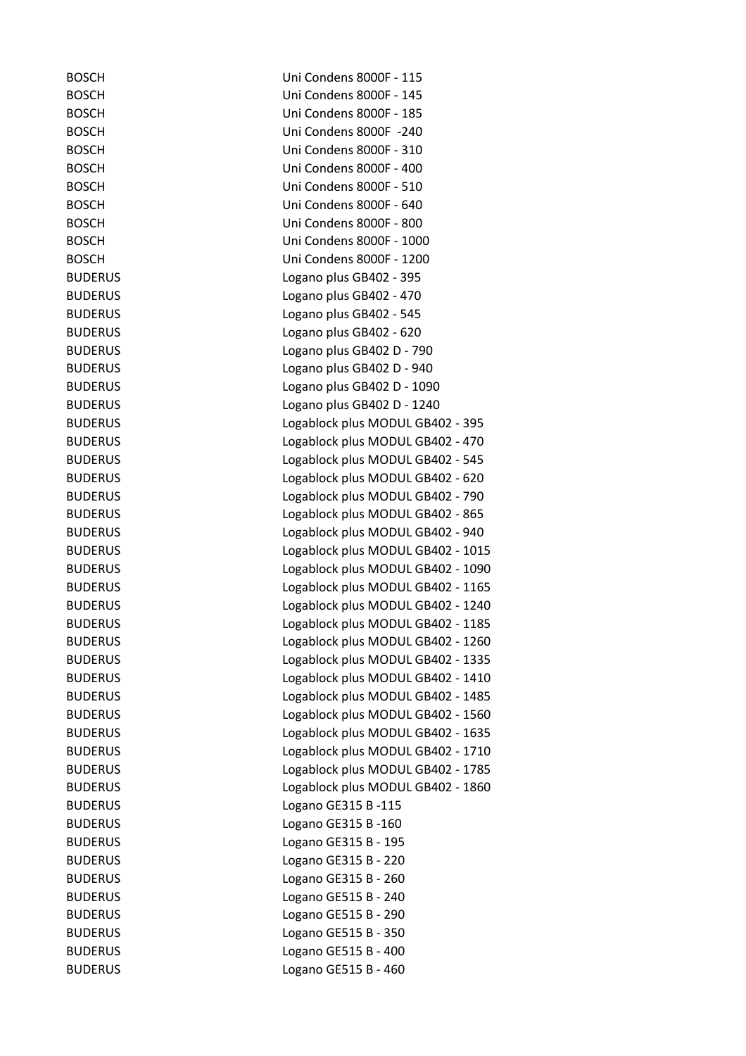| <b>BOSCH</b>   | Uni Condens 8000F - 115           |
|----------------|-----------------------------------|
| <b>BOSCH</b>   | Uni Condens 8000F - 145           |
| <b>BOSCH</b>   | Uni Condens 8000F - 185           |
| <b>BOSCH</b>   | Uni Condens 8000F -240            |
| <b>BOSCH</b>   | Uni Condens 8000F - 310           |
| <b>BOSCH</b>   | Uni Condens 8000F - 400           |
| <b>BOSCH</b>   | Uni Condens 8000F - 510           |
| <b>BOSCH</b>   | Uni Condens 8000F - 640           |
| <b>BOSCH</b>   | Uni Condens 8000F - 800           |
| <b>BOSCH</b>   | Uni Condens 8000F - 1000          |
| <b>BOSCH</b>   | Uni Condens 8000F - 1200          |
| <b>BUDERUS</b> | Logano plus GB402 - 395           |
| <b>BUDERUS</b> | Logano plus GB402 - 470           |
| <b>BUDERUS</b> | Logano plus GB402 - 545           |
| <b>BUDERUS</b> | Logano plus GB402 - 620           |
| <b>BUDERUS</b> | Logano plus GB402 D - 790         |
| <b>BUDERUS</b> | Logano plus GB402 D - 940         |
| <b>BUDERUS</b> | Logano plus GB402 D - 1090        |
| <b>BUDERUS</b> | Logano plus GB402 D - 1240        |
| <b>BUDERUS</b> | Logablock plus MODUL GB402 - 395  |
| <b>BUDERUS</b> | Logablock plus MODUL GB402 - 470  |
| <b>BUDERUS</b> | Logablock plus MODUL GB402 - 545  |
| <b>BUDERUS</b> | Logablock plus MODUL GB402 - 620  |
| <b>BUDERUS</b> | Logablock plus MODUL GB402 - 790  |
| <b>BUDERUS</b> | Logablock plus MODUL GB402 - 865  |
| <b>BUDERUS</b> | Logablock plus MODUL GB402 - 940  |
| <b>BUDERUS</b> | Logablock plus MODUL GB402 - 1015 |
| <b>BUDERUS</b> | Logablock plus MODUL GB402 - 1090 |
| <b>BUDERUS</b> | Logablock plus MODUL GB402 - 1165 |
| <b>BUDERUS</b> | Logablock plus MODUL GB402 - 1240 |
| <b>BUDERUS</b> | Logablock plus MODUL GB402 - 1185 |
| <b>BUDERUS</b> | Logablock plus MODUL GB402 - 1260 |
| <b>BUDERUS</b> | Logablock plus MODUL GB402 - 1335 |
| <b>BUDERUS</b> | Logablock plus MODUL GB402 - 1410 |
| <b>BUDERUS</b> | Logablock plus MODUL GB402 - 1485 |
| <b>BUDERUS</b> | Logablock plus MODUL GB402 - 1560 |
| <b>BUDERUS</b> | Logablock plus MODUL GB402 - 1635 |
| <b>BUDERUS</b> | Logablock plus MODUL GB402 - 1710 |
| <b>BUDERUS</b> | Logablock plus MODUL GB402 - 1785 |
| <b>BUDERUS</b> | Logablock plus MODUL GB402 - 1860 |
| <b>BUDERUS</b> | Logano GE315 B-115                |
| <b>BUDERUS</b> | Logano GE315 B-160                |
| <b>BUDERUS</b> | Logano GE315 B - 195              |
| <b>BUDERUS</b> | Logano GE315 B - 220              |
| <b>BUDERUS</b> | Logano GE315 B - 260              |
| <b>BUDERUS</b> | Logano GE515 B - 240              |
| <b>BUDERUS</b> | Logano GE515 B - 290              |
| <b>BUDERUS</b> | Logano GE515 B - 350              |
| <b>BUDERUS</b> | Logano GE515 B - 400              |
| <b>BUDERUS</b> | Logano GE515 B - 460              |
|                |                                   |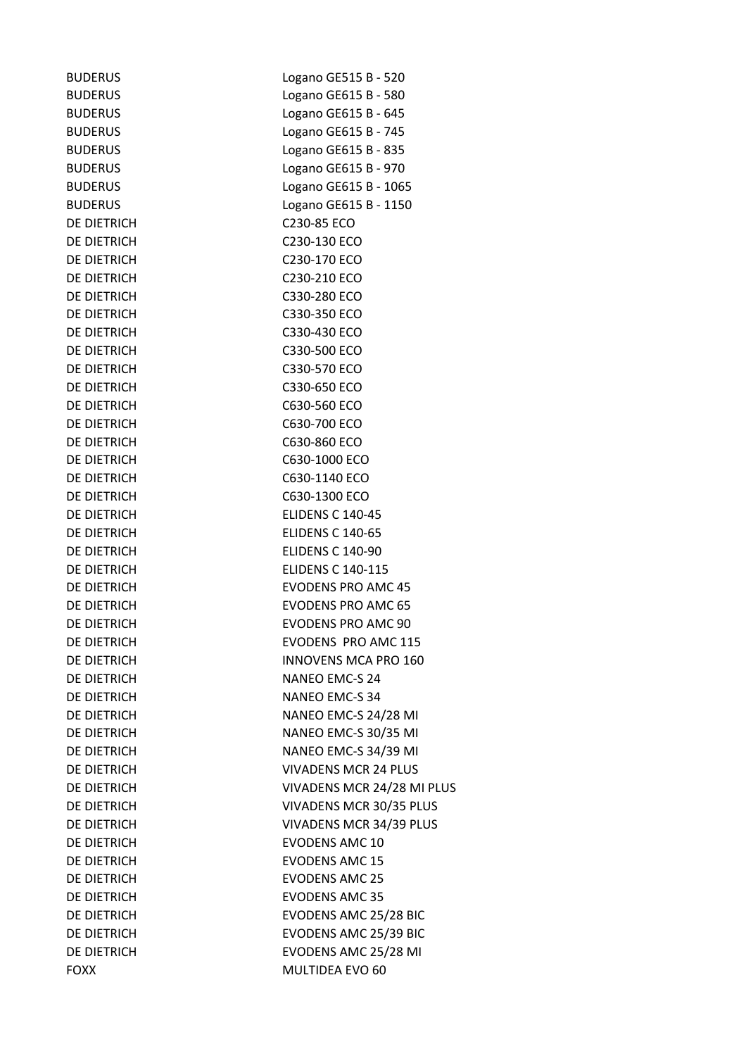DE DIETRICH C230-85 ECO

BUDERUS Logano GE515 B - 520 BUDERUS Logano GE615 B - 580 BUDERUS Logano GE615 B - 645 BUDERUS Logano GE615 B - 745 BUDERUS Logano GE615 B - 835 BUDERUS Logano GE615 B - 970 BUDERUS Logano GE615 B - 1065 BUDERUS Logano GE615 B - 1150 DE DIETRICH C230-130 ECO DE DIETRICH C230-170 ECO DE DIETRICH C230-210 ECO DE DIETRICH C330-280 ECO DE DIETRICH C330-350 ECO DE DIETRICH C330-430 ECO DE DIETRICH C330-500 ECO DE DIETRICH C330-570 ECO DE DIETRICH C330-650 ECO DE DIETRICH C630-560 ECO DE DIETRICH C630-700 ECO DE DIETRICH C630-860 ECO DE DIETRICH C630-1000 ECO DE DIETRICH C630-1140 ECO DE DIETRICH C630-1300 ECO DE DIETRICH ELIDENS C 140-45 DE DIETRICH ELIDENS C 140-65 DE DIETRICH ELIDENS C 140-90 DE DIETRICH ELIDENS C 140-115 DE DIETRICH EVODENS PRO AMC 45 DE DIETRICH EVODENS PRO AMC 65 DE DIETRICH EVODENS PRO AMC 90 DE DIETRICH EVODENS PRO AMC 115 DE DIETRICH INNOVENS MCA PRO 160 DE DIETRICH NANEO EMC-S 24 DE DIETRICH NANEO EMC-S 34 DE DIETRICH NANEO EMC-S 24/28 MI DE DIETRICH NANEO EMC-S 30/35 MI DE DIETRICH NANEO EMC-S 34/39 MI DE DIETRICH VIVADENS MCR 24 PLUS DE DIETRICH VIVADENS MCR 24/28 MI PLUS DE DIETRICH VIVADENS MCR 30/35 PLUS DE DIETRICH VIVADENS MCR 34/39 PLUS DE DIETRICH EVODENS AMC 10 DE DIETRICH EVODENS AMC 15 DE DIETRICH EVODENS AMC 25 DE DIETRICH EVODENS AMC 35 DE DIETRICH EVODENS AMC 25/28 BIC DE DIETRICH EVODENS AMC 25/39 BIC DE DIETRICH EVODENS AMC 25/28 MI FOXX MULTIDEA EVO 60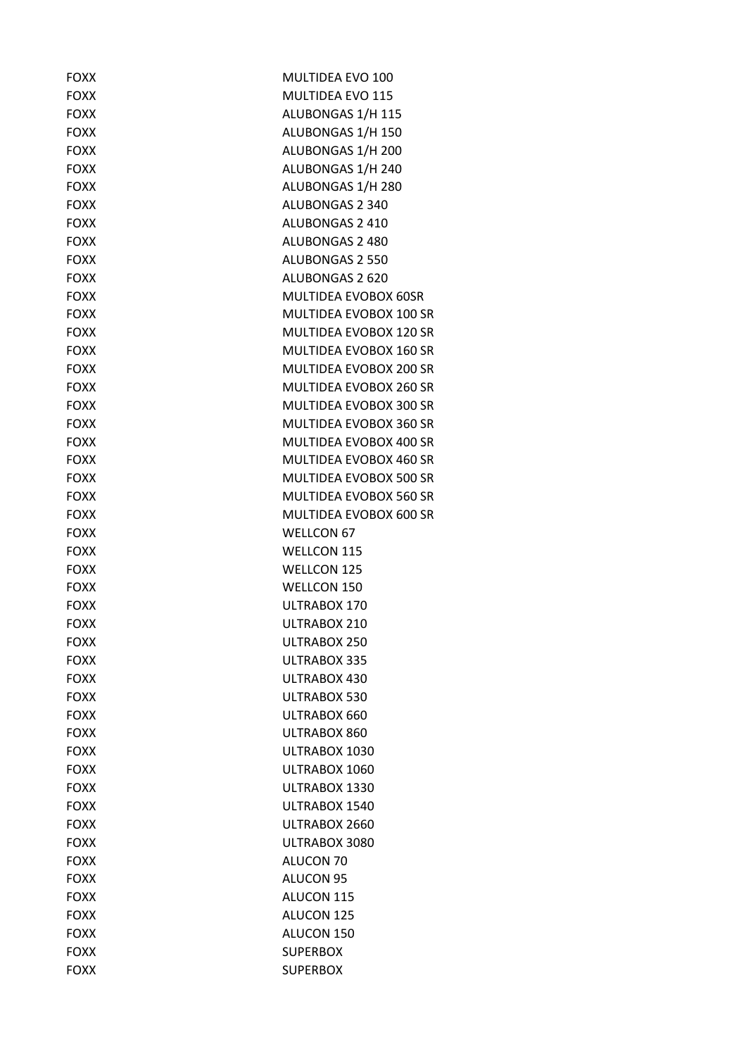| <b>FOXX</b> | MULTIDEA EVO 100              |
|-------------|-------------------------------|
| <b>FOXX</b> | <b>MULTIDEA EVO 115</b>       |
| <b>FOXX</b> | ALUBONGAS 1/H 115             |
| <b>FOXX</b> | ALUBONGAS 1/H 150             |
| <b>FOXX</b> | ALUBONGAS 1/H 200             |
| <b>FOXX</b> | ALUBONGAS 1/H 240             |
| <b>FOXX</b> | ALUBONGAS 1/H 280             |
| <b>FOXX</b> | <b>ALUBONGAS 2 340</b>        |
| <b>FOXX</b> | ALUBONGAS 2 410               |
| <b>FOXX</b> | <b>ALUBONGAS 2 480</b>        |
| <b>FOXX</b> | <b>ALUBONGAS 2 550</b>        |
| <b>FOXX</b> | ALUBONGAS 2 620               |
| <b>FOXX</b> | MULTIDEA EVOBOX 60SR          |
| <b>FOXX</b> | <b>MULTIDEA EVOBOX 100 SR</b> |
| <b>FOXX</b> | MULTIDEA EVOBOX 120 SR        |
| <b>FOXX</b> | MULTIDEA EVOBOX 160 SR        |
| <b>FOXX</b> | <b>MULTIDEA EVOBOX 200 SR</b> |
| <b>FOXX</b> | <b>MULTIDEA EVOBOX 260 SR</b> |
| <b>FOXX</b> | MULTIDEA EVOBOX 300 SR        |
| <b>FOXX</b> | MULTIDEA EVOBOX 360 SR        |
| <b>FOXX</b> | <b>MULTIDEA EVOBOX 400 SR</b> |
| <b>FOXX</b> | <b>MULTIDEA EVOBOX 460 SR</b> |
| <b>FOXX</b> | MULTIDEA EVOBOX 500 SR        |
| <b>FOXX</b> | MULTIDEA EVOBOX 560 SR        |
| <b>FOXX</b> | MULTIDEA EVOBOX 600 SR        |
| <b>FOXX</b> | <b>WELLCON 67</b>             |
| <b>FOXX</b> | <b>WELLCON 115</b>            |
| <b>FOXX</b> | <b>WELLCON 125</b>            |
| <b>FOXX</b> | WELLCON 150                   |
| <b>FOXX</b> | ULTRABOX 170                  |
| <b>FOXX</b> | ULTRABOX 210                  |
| <b>FOXX</b> | ULTRABOX 250                  |
| <b>FOXX</b> | ULTRABOX 335                  |
| <b>FOXX</b> | ULTRABOX 430                  |
| <b>FOXX</b> | ULTRABOX 530                  |
| <b>FOXX</b> | ULTRABOX 660                  |
| <b>FOXX</b> | ULTRABOX 860                  |
| <b>FOXX</b> | ULTRABOX 1030                 |
| <b>FOXX</b> | ULTRABOX 1060                 |
| <b>FOXX</b> | ULTRABOX 1330                 |
| <b>FOXX</b> | ULTRABOX 1540                 |
| <b>FOXX</b> | ULTRABOX 2660                 |
| <b>FOXX</b> | ULTRABOX 3080                 |
| <b>FOXX</b> | ALUCON 70                     |
| <b>FOXX</b> | <b>ALUCON 95</b>              |
| <b>FOXX</b> | ALUCON 115                    |
| <b>FOXX</b> | ALUCON 125                    |
| <b>FOXX</b> | ALUCON 150                    |
| <b>FOXX</b> | <b>SUPERBOX</b>               |
| <b>FOXX</b> | <b>SUPERBOX</b>               |
|             |                               |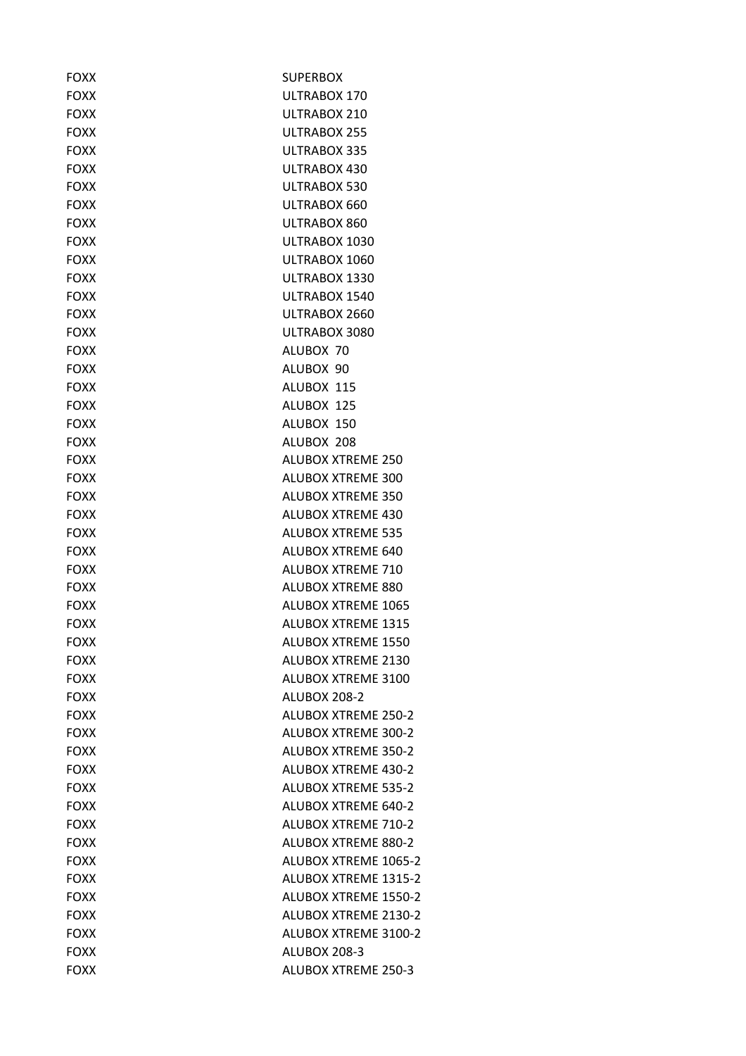| <b>FOXX</b> | <b>SUPERBOX</b>             |
|-------------|-----------------------------|
| <b>FOXX</b> | ULTRABOX 170                |
| <b>FOXX</b> | ULTRABOX 210                |
| <b>FOXX</b> | ULTRABOX 255                |
| <b>FOXX</b> | ULTRABOX 335                |
| <b>FOXX</b> | ULTRABOX 430                |
| <b>FOXX</b> | ULTRABOX 530                |
| <b>FOXX</b> | ULTRABOX 660                |
| <b>FOXX</b> | ULTRABOX 860                |
| <b>FOXX</b> | ULTRABOX 1030               |
| <b>FOXX</b> | ULTRABOX 1060               |
| <b>FOXX</b> | ULTRABOX 1330               |
| <b>FOXX</b> | ULTRABOX 1540               |
| <b>FOXX</b> | ULTRABOX 2660               |
| <b>FOXX</b> | ULTRABOX 3080               |
| <b>FOXX</b> | ALUBOX 70                   |
| <b>FOXX</b> | ALUBOX 90                   |
| <b>FOXX</b> | ALUBOX 115                  |
| <b>FOXX</b> | ALUBOX 125                  |
| <b>FOXX</b> | ALUBOX 150                  |
| <b>FOXX</b> | ALUBOX 208                  |
| <b>FOXX</b> | <b>ALUBOX XTREME 250</b>    |
| <b>FOXX</b> | <b>ALUBOX XTREME 300</b>    |
| <b>FOXX</b> | <b>ALUBOX XTREME 350</b>    |
| <b>FOXX</b> | <b>ALUBOX XTREME 430</b>    |
| <b>FOXX</b> | <b>ALUBOX XTREME 535</b>    |
| <b>FOXX</b> | <b>ALUBOX XTREME 640</b>    |
| <b>FOXX</b> | <b>ALUBOX XTREME 710</b>    |
| <b>FOXX</b> | ALUBOX XTREME 880           |
| <b>FOXX</b> | <b>ALUBOX XTREME 1065</b>   |
| <b>FOXX</b> | <b>ALUBOX XTREME 1315</b>   |
| <b>FOXX</b> | ALUBOX XTREME 1550          |
| <b>FOXX</b> | ALUBOX XTREME 2130          |
| <b>FOXX</b> | ALUBOX XTREME 3100          |
| <b>FOXX</b> | <b>ALUBOX 208-2</b>         |
| <b>FOXX</b> | <b>ALUBOX XTREME 250-2</b>  |
| <b>FOXX</b> | <b>ALUBOX XTREME 300-2</b>  |
| <b>FOXX</b> | ALUBOX XTREME 350-2         |
| <b>FOXX</b> | <b>ALUBOX XTREME 430-2</b>  |
| <b>FOXX</b> | <b>ALUBOX XTREME 535-2</b>  |
| <b>FOXX</b> | <b>ALUBOX XTREME 640-2</b>  |
| <b>FOXX</b> | <b>ALUBOX XTREME 710-2</b>  |
| <b>FOXX</b> | ALUBOX XTREME 880-2         |
| <b>FOXX</b> | <b>ALUBOX XTREME 1065-2</b> |
| <b>FOXX</b> | <b>ALUBOX XTREME 1315-2</b> |
| <b>FOXX</b> | <b>ALUBOX XTREME 1550-2</b> |
| <b>FOXX</b> | <b>ALUBOX XTREME 2130-2</b> |
| <b>FOXX</b> | <b>ALUBOX XTREME 3100-2</b> |
| <b>FOXX</b> | ALUBOX 208-3                |
| <b>FOXX</b> | ALUBOX XTREME 250-3         |
|             |                             |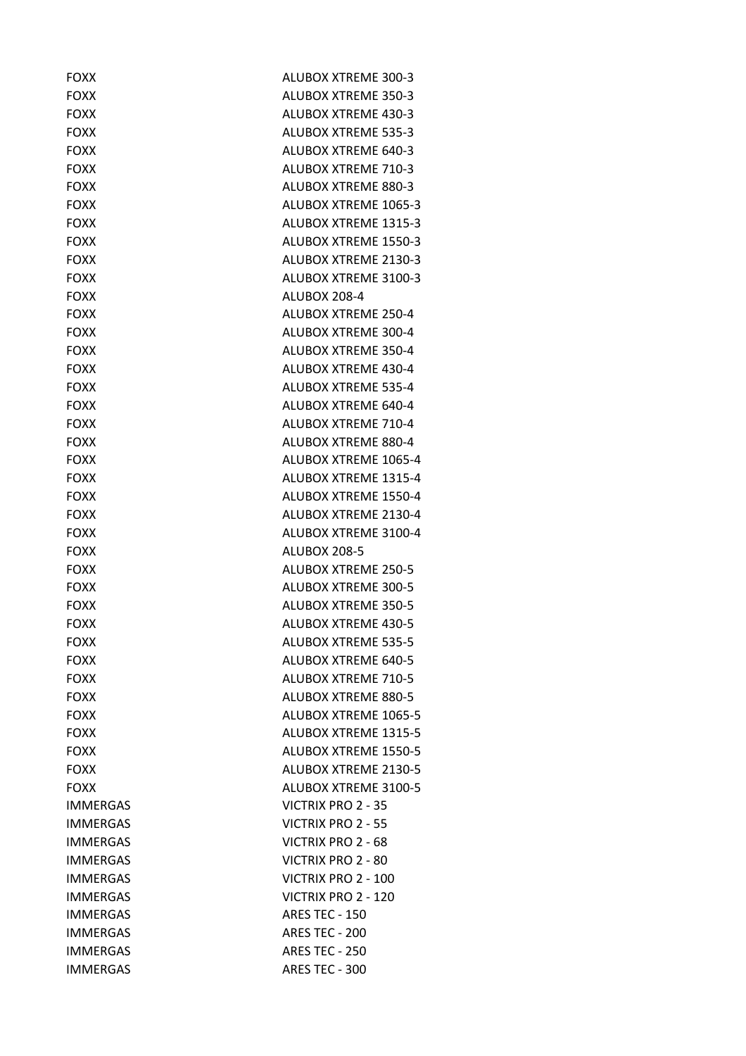| <b>FOXX</b>     | ALUBOX XTREME 300-3         |
|-----------------|-----------------------------|
| <b>FOXX</b>     | ALUBOX XTREME 350-3         |
| <b>FOXX</b>     | <b>ALUBOX XTREME 430-3</b>  |
| <b>FOXX</b>     | <b>ALUBOX XTREME 535-3</b>  |
| <b>FOXX</b>     | <b>ALUBOX XTREME 640-3</b>  |
| <b>FOXX</b>     | <b>ALUBOX XTREME 710-3</b>  |
| <b>FOXX</b>     | <b>ALUBOX XTREME 880-3</b>  |
| <b>FOXX</b>     | ALUBOX XTREME 1065-3        |
| <b>FOXX</b>     | <b>ALUBOX XTREME 1315-3</b> |
| <b>FOXX</b>     | <b>ALUBOX XTREME 1550-3</b> |
| <b>FOXX</b>     | ALUBOX XTREME 2130-3        |
| <b>FOXX</b>     | ALUBOX XTREME 3100-3        |
| <b>FOXX</b>     | ALUBOX 208-4                |
| <b>FOXX</b>     | <b>ALUBOX XTREME 250-4</b>  |
| <b>FOXX</b>     | <b>ALUBOX XTREME 300-4</b>  |
| <b>FOXX</b>     | <b>ALUBOX XTREME 350-4</b>  |
| <b>FOXX</b>     | ALUBOX XTREME 430-4         |
| <b>FOXX</b>     | <b>ALUBOX XTREME 535-4</b>  |
| <b>FOXX</b>     | ALUBOX XTREME 640-4         |
| <b>FOXX</b>     | ALUBOX XTREME 710-4         |
| <b>FOXX</b>     | <b>ALUBOX XTREME 880-4</b>  |
| <b>FOXX</b>     | ALUBOX XTREME 1065-4        |
| <b>FOXX</b>     | ALUBOX XTREME 1315-4        |
| <b>FOXX</b>     | ALUBOX XTREME 1550-4        |
| <b>FOXX</b>     | ALUBOX XTREME 2130-4        |
| <b>FOXX</b>     | ALUBOX XTREME 3100-4        |
| <b>FOXX</b>     | ALUBOX 208-5                |
| <b>FOXX</b>     | <b>ALUBOX XTREME 250-5</b>  |
| <b>FOXX</b>     | <b>ALUBOX XTREME 300-5</b>  |
| <b>FOXX</b>     | <b>ALUBOX XTREME 350-5</b>  |
| <b>FOXX</b>     | <b>ALUBOX XTREME 430-5</b>  |
| <b>FOXX</b>     | <b>ALUBOX XTREME 535-5</b>  |
| <b>FOXX</b>     | <b>ALUBOX XTREME 640-5</b>  |
| <b>FOXX</b>     | ALUBOX XTREME 710-5         |
| <b>FOXX</b>     | <b>ALUBOX XTREME 880-5</b>  |
| <b>FOXX</b>     | ALUBOX XTREME 1065-5        |
| <b>FOXX</b>     | ALUBOX XTREME 1315-5        |
| <b>FOXX</b>     | ALUBOX XTREME 1550-5        |
| <b>FOXX</b>     | ALUBOX XTREME 2130-5        |
| <b>FOXX</b>     | ALUBOX XTREME 3100-5        |
| <b>IMMERGAS</b> | <b>VICTRIX PRO 2 - 35</b>   |
| <b>IMMERGAS</b> | VICTRIX PRO 2 - 55          |
|                 |                             |
| <b>IMMERGAS</b> | VICTRIX PRO 2 - 68          |
| <b>IMMERGAS</b> | <b>VICTRIX PRO 2 - 80</b>   |
| <b>IMMERGAS</b> | VICTRIX PRO 2 - 100         |
| <b>IMMERGAS</b> | VICTRIX PRO 2 - 120         |
| <b>IMMERGAS</b> | <b>ARES TEC - 150</b>       |
| <b>IMMERGAS</b> | <b>ARES TEC - 200</b>       |
| <b>IMMERGAS</b> | <b>ARES TEC - 250</b>       |
| <b>IMMERGAS</b> | ARES TEC - 300              |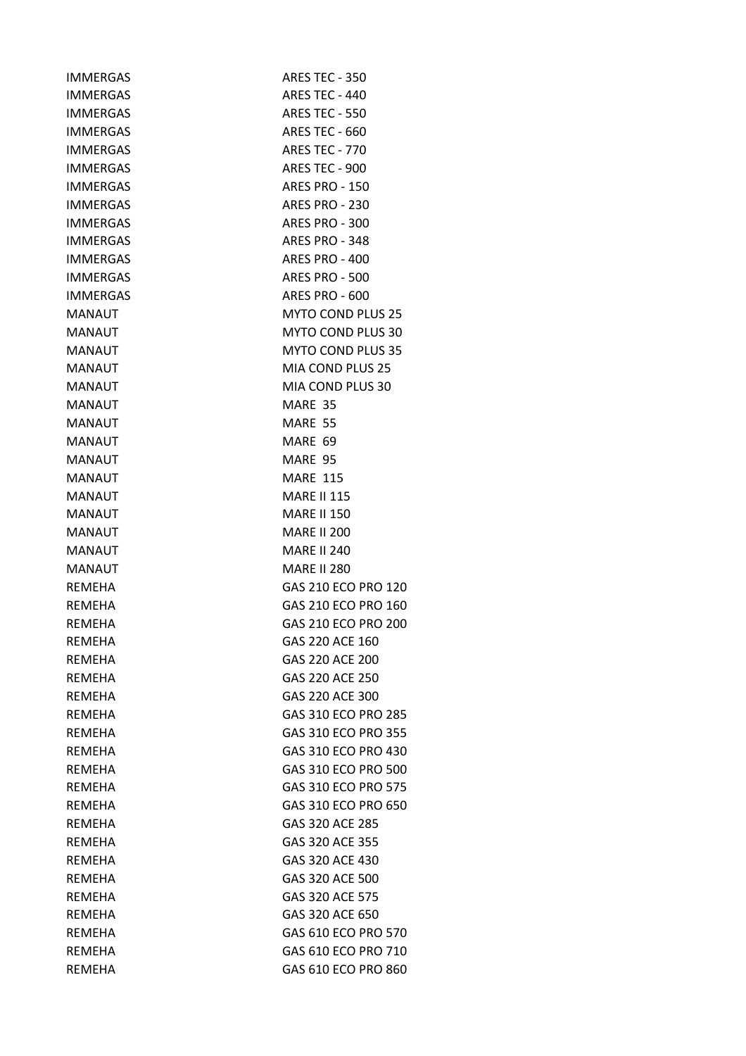| <b>ARES TEC - 350</b>    |
|--------------------------|
| ARES TEC - 440           |
| <b>ARES TEC - 550</b>    |
| <b>ARES TEC - 660</b>    |
| <b>ARES TEC - 770</b>    |
| ARES TEC - 900           |
| <b>ARES PRO - 150</b>    |
| <b>ARES PRO - 230</b>    |
| <b>ARES PRO - 300</b>    |
| <b>ARES PRO - 348</b>    |
| <b>ARES PRO - 400</b>    |
| <b>ARES PRO - 500</b>    |
| ARES PRO - 600           |
| <b>MYTO COND PLUS 25</b> |
| <b>MYTO COND PLUS 30</b> |
| <b>MYTO COND PLUS 35</b> |
| MIA COND PLUS 25         |
| MIA COND PLUS 30         |
| MARE 35                  |
| MARE 55                  |
| MARE 69                  |
| MARE 95                  |
| <b>MARE 115</b>          |
| <b>MARE II 115</b>       |
| <b>MARE II 150</b>       |
| <b>MARE II 200</b>       |
| <b>MARE II 240</b>       |
| <b>MARE II 280</b>       |
| GAS 210 ECO PRO 120      |
| GAS 210 ECO PRO 160      |
| GAS 210 ECO PRO 200      |
| GAS 220 ACE 160          |
| GAS 220 ACE 200          |
| GAS 220 ACE 250          |
| GAS 220 ACE 300          |
| GAS 310 ECO PRO 285      |
| GAS 310 ECO PRO 355      |
| GAS 310 ECO PRO 430      |
| GAS 310 ECO PRO 500      |
| GAS 310 ECO PRO 575      |
| GAS 310 ECO PRO 650      |
| GAS 320 ACE 285          |
| GAS 320 ACE 355          |
| GAS 320 ACE 430          |
| GAS 320 ACE 500          |
| GAS 320 ACE 575          |
|                          |
| GAS 320 ACE 650          |
| GAS 610 ECO PRO 570      |
| GAS 610 ECO PRO 710      |
|                          |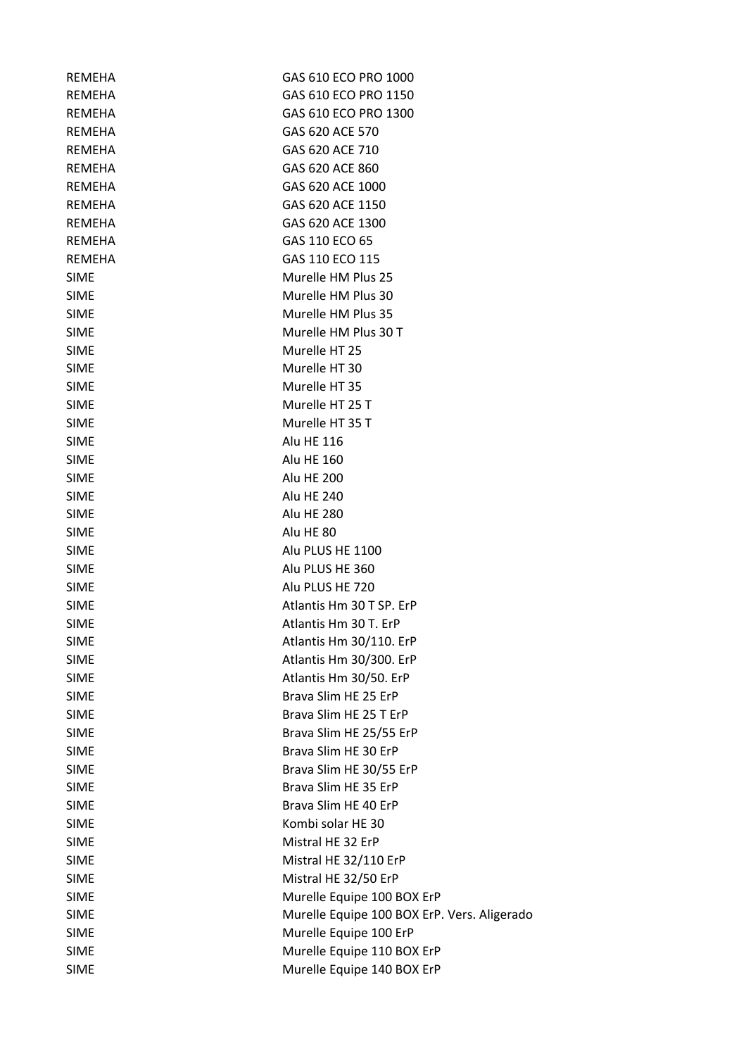| REMEHA        | GAS 610 ECO PRO 1000                        |
|---------------|---------------------------------------------|
| <b>REMEHA</b> | GAS 610 ECO PRO 1150                        |
| REMEHA        | GAS 610 ECO PRO 1300                        |
| REMEHA        | GAS 620 ACE 570                             |
| <b>REMEHA</b> | GAS 620 ACE 710                             |
| <b>REMEHA</b> | GAS 620 ACE 860                             |
| <b>REMEHA</b> | GAS 620 ACE 1000                            |
| <b>REMEHA</b> | GAS 620 ACE 1150                            |
| <b>REMEHA</b> | GAS 620 ACE 1300                            |
| REMEHA        | GAS 110 ECO 65                              |
| <b>REMEHA</b> | GAS 110 ECO 115                             |
| <b>SIME</b>   | Murelle HM Plus 25                          |
| <b>SIME</b>   | Murelle HM Plus 30                          |
| <b>SIME</b>   | Murelle HM Plus 35                          |
| <b>SIME</b>   | Murelle HM Plus 30 T                        |
| <b>SIME</b>   | Murelle HT 25                               |
| <b>SIME</b>   | Murelle HT 30                               |
| <b>SIME</b>   | Murelle HT 35                               |
| <b>SIME</b>   | Murelle HT 25 T                             |
| <b>SIME</b>   | Murelle HT 35 T                             |
| <b>SIME</b>   | Alu HE 116                                  |
| <b>SIME</b>   | <b>Alu HE 160</b>                           |
| <b>SIME</b>   | <b>Alu HE 200</b>                           |
| <b>SIME</b>   | <b>Alu HE 240</b>                           |
| <b>SIME</b>   | <b>Alu HE 280</b>                           |
| <b>SIME</b>   | Alu HE 80                                   |
| <b>SIME</b>   | Alu PLUS HE 1100                            |
| <b>SIME</b>   | Alu PLUS HE 360                             |
| <b>SIME</b>   | Alu PLUS HE 720                             |
| <b>SIME</b>   | Atlantis Hm 30 T SP. ErP                    |
| <b>SIME</b>   | Atlantis Hm 30 T. ErP                       |
| <b>SIME</b>   | Atlantis Hm 30/110. ErP                     |
| <b>SIME</b>   | Atlantis Hm 30/300. ErP                     |
| <b>SIME</b>   | Atlantis Hm 30/50. ErP                      |
| <b>SIME</b>   | Brava Slim HE 25 ErP                        |
| <b>SIME</b>   | Brava Slim HE 25 T ErP                      |
| <b>SIME</b>   | Brava Slim HE 25/55 ErP                     |
| <b>SIME</b>   | Brava Slim HE 30 ErP                        |
| <b>SIME</b>   | Brava Slim HE 30/55 ErP                     |
| <b>SIME</b>   | Brava Slim HE 35 ErP                        |
| <b>SIME</b>   | Brava Slim HE 40 ErP                        |
| <b>SIME</b>   | Kombi solar HE 30                           |
| <b>SIME</b>   | Mistral HE 32 ErP                           |
| <b>SIME</b>   | Mistral HE 32/110 ErP                       |
| <b>SIME</b>   | Mistral HE 32/50 ErP                        |
| <b>SIME</b>   | Murelle Equipe 100 BOX ErP                  |
| <b>SIME</b>   | Murelle Equipe 100 BOX ErP. Vers. Aligerado |
| <b>SIME</b>   | Murelle Equipe 100 ErP                      |
| <b>SIME</b>   | Murelle Equipe 110 BOX ErP                  |
| <b>SIME</b>   | Murelle Equipe 140 BOX ErP                  |
|               |                                             |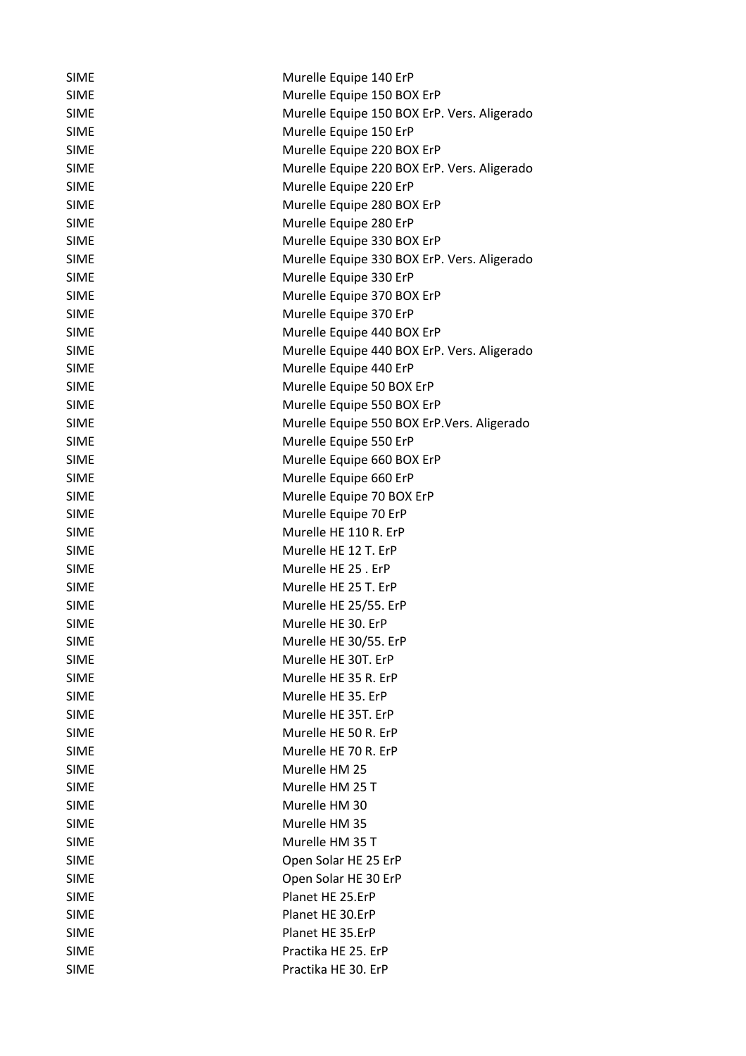| <b>SIME</b>                | Murelle Equipe 140 ErP                       |
|----------------------------|----------------------------------------------|
| <b>SIME</b>                | Murelle Equipe 150 BOX ErP                   |
| <b>SIME</b>                | Murelle Equipe 150 BOX ErP. Vers. Aligerado  |
| <b>SIME</b>                | Murelle Equipe 150 ErP                       |
| <b>SIME</b>                | Murelle Equipe 220 BOX ErP                   |
| <b>SIME</b>                | Murelle Equipe 220 BOX ErP. Vers. Aligerado  |
| <b>SIME</b>                | Murelle Equipe 220 ErP                       |
| <b>SIME</b>                | Murelle Equipe 280 BOX ErP                   |
| <b>SIME</b>                | Murelle Equipe 280 ErP                       |
| <b>SIME</b>                | Murelle Equipe 330 BOX ErP                   |
| <b>SIME</b>                | Murelle Equipe 330 BOX ErP. Vers. Aligerado  |
| <b>SIME</b>                | Murelle Equipe 330 ErP                       |
| <b>SIME</b>                | Murelle Equipe 370 BOX ErP                   |
| <b>SIME</b>                | Murelle Equipe 370 ErP                       |
| <b>SIME</b>                | Murelle Equipe 440 BOX ErP                   |
| <b>SIME</b>                | Murelle Equipe 440 BOX ErP. Vers. Aligerado  |
| <b>SIME</b>                | Murelle Equipe 440 ErP                       |
| <b>SIME</b>                | Murelle Equipe 50 BOX ErP                    |
| <b>SIME</b>                | Murelle Equipe 550 BOX ErP                   |
| <b>SIME</b>                | Murelle Equipe 550 BOX ErP. Vers. Aligerado  |
| <b>SIME</b>                | Murelle Equipe 550 ErP                       |
| <b>SIME</b>                | Murelle Equipe 660 BOX ErP                   |
| <b>SIME</b>                | Murelle Equipe 660 ErP                       |
| <b>SIME</b>                | Murelle Equipe 70 BOX ErP                    |
| <b>SIME</b>                | Murelle Equipe 70 ErP                        |
| <b>SIME</b>                | Murelle HE 110 R. ErP                        |
|                            | Murelle HE 12 T. ErP                         |
| <b>SIME</b><br><b>SIME</b> | Murelle HE 25, ErP                           |
|                            | Murelle HE 25 T. ErP                         |
| <b>SIME</b>                |                                              |
| <b>SIME</b>                | Murelle HE 25/55. ErP<br>Murelle HE 30. ErP  |
| <b>SIME</b>                |                                              |
| <b>SIME</b>                | Murelle HE 30/55. ErP<br>Murelle HE 30T. ErP |
| <b>SIME</b>                |                                              |
| <b>SIME</b>                | Murelle HE 35 R. ErP                         |
| <b>SIME</b>                | Murelle HE 35. ErP                           |
| <b>SIME</b>                | Murelle HE 35T. ErP                          |
| <b>SIME</b>                | Murelle HE 50 R. ErP                         |
| <b>SIME</b>                | Murelle HE 70 R. ErP                         |
| <b>SIME</b>                | Murelle HM 25                                |
| <b>SIME</b>                | Murelle HM 25 T                              |
| <b>SIME</b>                | Murelle HM 30                                |
| <b>SIME</b>                | Murelle HM 35                                |
| <b>SIME</b>                | Murelle HM 35 T                              |
| <b>SIME</b>                | Open Solar HE 25 ErP                         |
| <b>SIME</b>                | Open Solar HE 30 ErP                         |
| <b>SIME</b>                | Planet HE 25.ErP                             |
| <b>SIME</b>                | Planet HE 30.ErP                             |
| <b>SIME</b>                | Planet HE 35.ErP                             |
| <b>SIME</b>                | Practika HE 25. ErP                          |
| <b>SIME</b>                | Practika HE 30. ErP                          |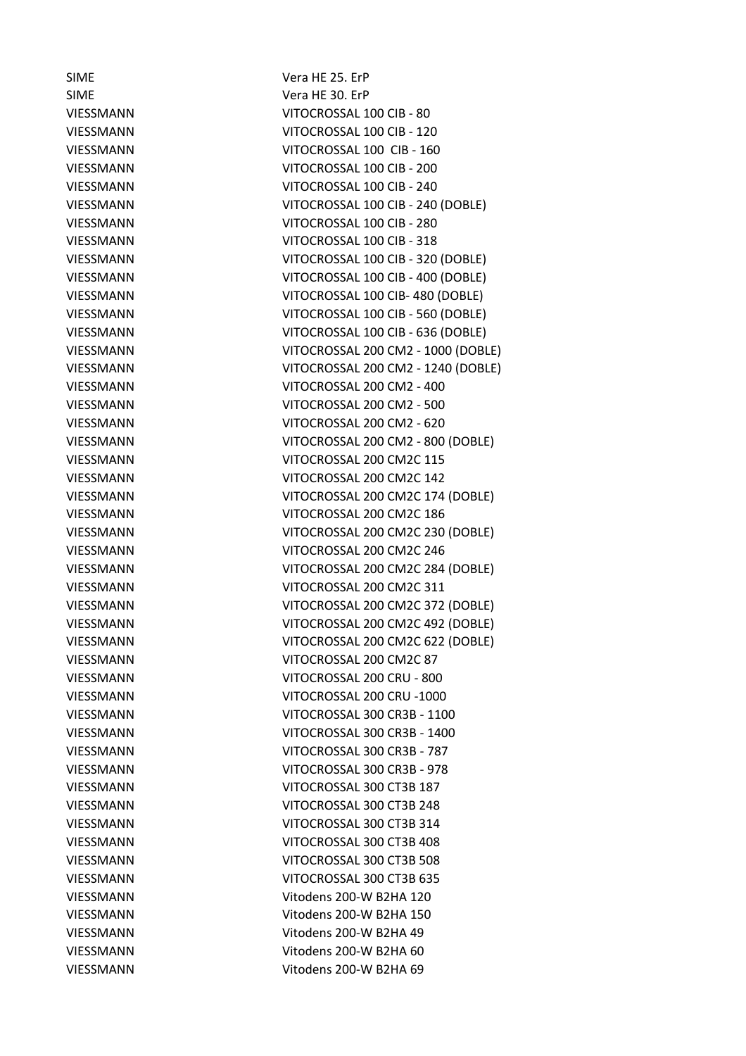SIME Vera HE 25. ErP

SIME Vera HE 30. ErP VIESSMANN VITOCROSSAL 100 CIB - 80 VIESSMANN VITOCROSSAL 100 CIB - 120 VIESSMANN VITOCROSSAL 100 CIB - 160 VIESSMANN VITOCROSSAL 100 CIB - 200 VIESSMANN VITOCROSSAL 100 CIB - 240 VIESSMANN VITOCROSSAL 100 CIB - 240 (DOBLE) VIESSMANN VITOCROSSAL 100 CIB - 280 VIESSMANN VITOCROSSAL 100 CIB - 318 VIESSMANN VITOCROSSAL 100 CIB - 320 (DOBLE) VIESSMANN VITOCROSSAL 100 CIB - 400 (DOBLE) VIESSMANN VITOCROSSAL 100 CIB- 480 (DOBLE) VIESSMANN VITOCROSSAL 100 CIB - 560 (DOBLE) VIESSMANN VITOCROSSAL 100 CIB - 636 (DOBLE) VIESSMANN VITOCROSSAL 200 CM2 - 1000 (DOBLE) VIESSMANN VITOCROSSAL 200 CM2 - 1240 (DOBLE) VIESSMANN VITOCROSSAL 200 CM2 - 400 VIESSMANN VITOCROSSAL 200 CM2 - 500 VIESSMANN VITOCROSSAL 200 CM2 - 620 VIESSMANN VITOCROSSAL 200 CM2 - 800 (DOBLE) VIESSMANN VITOCROSSAL 200 CM2C 115 VIESSMANN VITOCROSSAL 200 CM2C 142 VIESSMANN VITOCROSSAL 200 CM2C 174 (DOBLE) VIESSMANN VITOCROSSAL 200 CM2C 186 VIESSMANN VITOCROSSAL 200 CM2C 230 (DOBLE) VIESSMANN VITOCROSSAL 200 CM2C 246 VIESSMANN VITOCROSSAL 200 CM2C 284 (DOBLE) VIESSMANN VITOCROSSAL 200 CM2C 311 VIESSMANN VITOCROSSAL 200 CM2C 372 (DOBLE) VIESSMANN VITOCROSSAL 200 CM2C 492 (DOBLE) VIESSMANN VITOCROSSAL 200 CM2C 622 (DOBLE) VIESSMANN VITOCROSSAL 200 CM2C 87 VIESSMANN VITOCROSSAL 200 CRU - 800 VIESSMANN VITOCROSSAL 200 CRU -1000 VIESSMANN VITOCROSSAL 300 CR3B - 1100 VIESSMANN VITOCROSSAL 300 CR3B - 1400 VIESSMANN VITOCROSSAL 300 CR3B - 787 VIESSMANN VITOCROSSAL 300 CR3B - 978 VIESSMANN VITOCROSSAL 300 CT3B 187 VIESSMANN VITOCROSSAL 300 CT3B 248 VIESSMANN VITOCROSSAL 300 CT3B 314 VIESSMANN VITOCROSSAL 300 CT3B 408 VIESSMANN VITOCROSSAL 300 CT3B 508 VIESSMANN VITOCROSSAL 300 CT3B 635 VIESSMANN Vitodens 200-W B2HA 120 VIESSMANN Vitodens 200-W B2HA 150 VIESSMANN Vitodens 200-W B2HA 49 VIESSMANN Vitodens 200-W B2HA 60 VIESSMANN Vitodens 200-W B2HA 69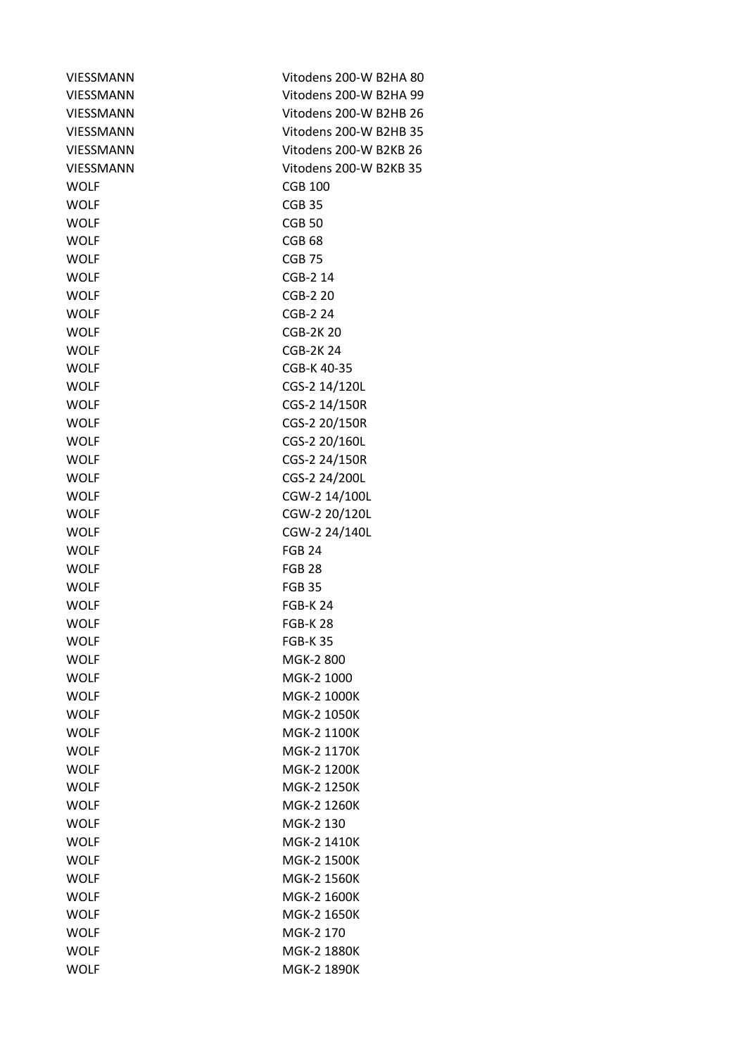| <b>VIESSMANN</b> | Vitodens 200-W B2HA 80 |
|------------------|------------------------|
| <b>VIESSMANN</b> | Vitodens 200-W B2HA 99 |
| <b>VIESSMANN</b> | Vitodens 200-W B2HB 26 |
| VIESSMANN        | Vitodens 200-W B2HB 35 |
| <b>VIESSMANN</b> | Vitodens 200-W B2KB 26 |
| <b>VIESSMANN</b> | Vitodens 200-W B2KB 35 |
| <b>WOLF</b>      | <b>CGB 100</b>         |
| <b>WOLF</b>      | CGB <sub>35</sub>      |
| <b>WOLF</b>      | <b>CGB 50</b>          |
| <b>WOLF</b>      | CGB <sub>68</sub>      |
| <b>WOLF</b>      | CGB <sub>75</sub>      |
| <b>WOLF</b>      | CGB-2 14               |
| <b>WOLF</b>      | CGB-2 20               |
| <b>WOLF</b>      | CGB-2 24               |
| <b>WOLF</b>      | <b>CGB-2K20</b>        |
| <b>WOLF</b>      | <b>CGB-2K24</b>        |
| <b>WOLF</b>      | CGB-K 40-35            |
| <b>WOLF</b>      | CGS-2 14/120L          |
| <b>WOLF</b>      | CGS-2 14/150R          |
| <b>WOLF</b>      | CGS-2 20/150R          |
| <b>WOLF</b>      | CGS-2 20/160L          |
| <b>WOLF</b>      | CGS-2 24/150R          |
| <b>WOLF</b>      | CGS-2 24/200L          |
| <b>WOLF</b>      | CGW-2 14/100L          |
| <b>WOLF</b>      | CGW-2 20/120L          |
| <b>WOLF</b>      | CGW-2 24/140L          |
| <b>WOLF</b>      | <b>FGB 24</b>          |
| <b>WOLF</b>      | <b>FGB 28</b>          |
| <b>WOLF</b>      | <b>FGB 35</b>          |
| <b>WOLF</b>      | <b>FGB-K 24</b>        |
| <b>WOLF</b>      | <b>FGB-K28</b>         |
| <b>WOLF</b>      | <b>FGB-K35</b>         |
| <b>WOLF</b>      | MGK-2 800              |
| <b>WOLF</b>      | MGK-2 1000             |
| <b>WOLF</b>      | MGK-2 1000K            |
| <b>WOLF</b>      | MGK-2 1050K            |
| <b>WOLF</b>      | MGK-2 1100K            |
| <b>WOLF</b>      | MGK-2 1170K            |
| <b>WOLF</b>      | MGK-2 1200K            |
| <b>WOLF</b>      | <b>MGK-2 1250K</b>     |
| <b>WOLF</b>      | MGK-2 1260K            |
| <b>WOLF</b>      | MGK-2 130              |
| <b>WOLF</b>      | MGK-2 1410K            |
| <b>WOLF</b>      | <b>MGK-2 1500K</b>     |
| <b>WOLF</b>      | MGK-2 1560K            |
| <b>WOLF</b>      | MGK-2 1600K            |
| <b>WOLF</b>      | MGK-2 1650K            |
| <b>WOLF</b>      | MGK-2 170              |
| <b>WOLF</b>      | <b>MGK-2 1880K</b>     |
| <b>WOLF</b>      | MGK-2 1890K            |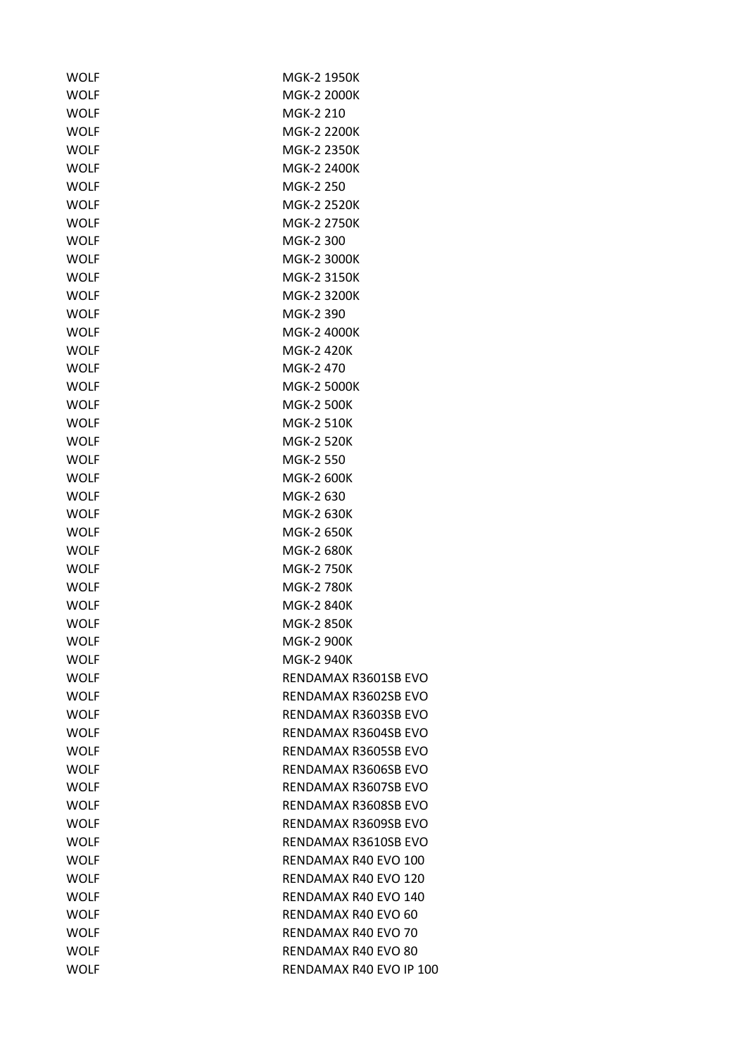| WOLF        | MGK-2 1950K             |
|-------------|-------------------------|
| <b>WOLF</b> | MGK-2 2000K             |
| <b>WOLF</b> | MGK-2 210               |
| <b>WOLF</b> | <b>MGK-2 2200K</b>      |
| <b>WOLF</b> | <b>MGK-2 2350K</b>      |
| <b>WOLF</b> | <b>MGK-2 2400K</b>      |
| <b>WOLF</b> | MGK-2 250               |
| <b>WOLF</b> | <b>MGK-2 2520K</b>      |
| <b>WOLF</b> | <b>MGK-2 2750K</b>      |
| <b>WOLF</b> | MGK-2 300               |
| <b>WOLF</b> | <b>MGK-2 3000K</b>      |
| <b>WOLF</b> | <b>MGK-2 3150K</b>      |
| <b>WOLF</b> | <b>MGK-2 3200K</b>      |
| <b>WOLF</b> | MGK-2 390               |
| <b>WOLF</b> | MGK-2 4000K             |
| <b>WOLF</b> | <b>MGK-2 420K</b>       |
| <b>WOLF</b> | MGK-2470                |
| WOLF        | <b>MGK-2 5000K</b>      |
| <b>WOLF</b> | <b>MGK-2 500K</b>       |
| <b>WOLF</b> | <b>MGK-2 510K</b>       |
| <b>WOLF</b> | <b>MGK-2 520K</b>       |
| <b>WOLF</b> | MGK-2 550               |
|             |                         |
| <b>WOLF</b> | <b>MGK-2 600K</b>       |
| <b>WOLF</b> | MGK-2 630               |
| <b>WOLF</b> | <b>MGK-2 630K</b>       |
| <b>WOLF</b> | <b>MGK-2 650K</b>       |
| <b>WOLF</b> | <b>MGK-2 680K</b>       |
| <b>WOLF</b> | <b>MGK-2 750K</b>       |
| <b>WOLF</b> | <b>MGK-2 780K</b>       |
| WOLF        | <b>MGK-2 840K</b>       |
| <b>WOLF</b> | <b>MGK-2 850K</b>       |
| <b>WOLF</b> | <b>MGK-2 900K</b>       |
| WOLF        | MGK-2 940K              |
| <b>WOLF</b> | RENDAMAX R3601SB EVO    |
| <b>WOLF</b> | RENDAMAX R3602SB EVO    |
| <b>WOLF</b> | RENDAMAX R3603SB EVO    |
| WOLF        | RENDAMAX R3604SB EVO    |
| <b>WOLF</b> | RENDAMAX R3605SB EVO    |
| <b>WOLF</b> | RENDAMAX R3606SB EVO    |
| <b>WOLF</b> | RENDAMAX R3607SB EVO    |
| <b>WOLF</b> | RENDAMAX R3608SB EVO    |
| WOLF        | RENDAMAX R3609SB EVO    |
| <b>WOLF</b> | RENDAMAX R3610SB EVO    |
| WOLF        | RENDAMAX R40 EVO 100    |
| <b>WOLF</b> | RENDAMAX R40 EVO 120    |
| <b>WOLF</b> | RENDAMAX R40 EVO 140    |
| WOLF        | RENDAMAX R40 EVO 60     |
| <b>WOLF</b> | RENDAMAX R40 EVO 70     |
| WOLF        | RENDAMAX R40 EVO 80     |
| <b>WOLF</b> | RENDAMAX R40 EVO IP 100 |
|             |                         |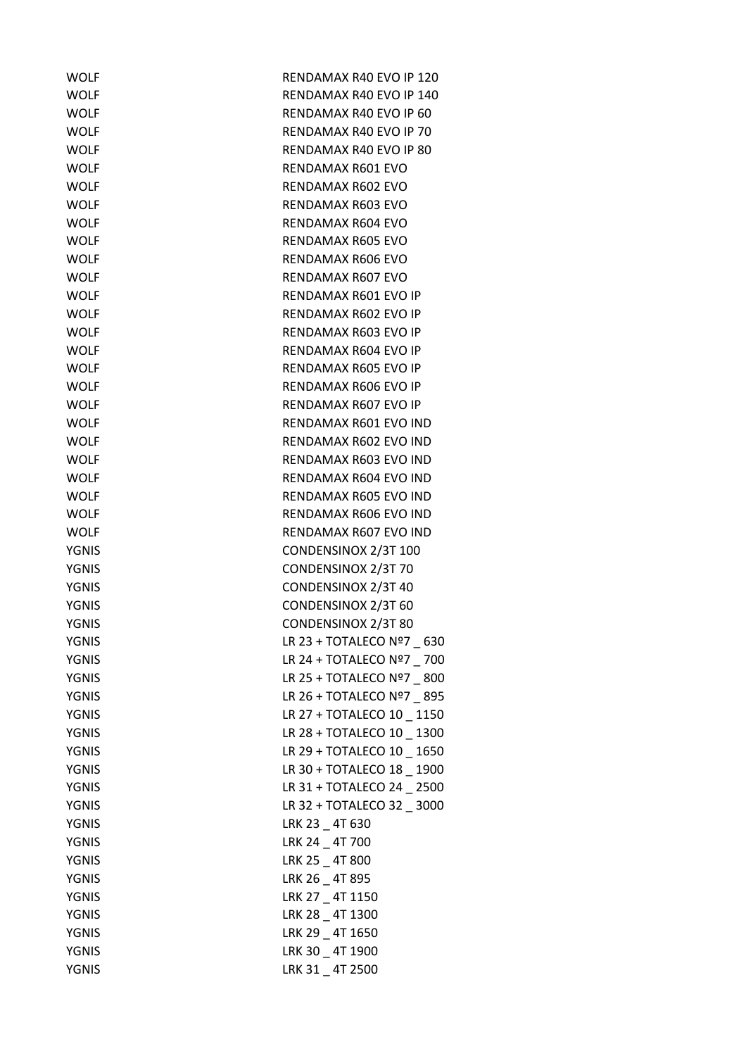| <b>WOLF</b>  | RENDAMAX R40 EVO IP 120    |
|--------------|----------------------------|
| <b>WOLF</b>  | RENDAMAX R40 EVO IP 140    |
| <b>WOLF</b>  | RENDAMAX R40 EVO IP 60     |
| <b>WOLF</b>  | RENDAMAX R40 EVO IP 70     |
| <b>WOLF</b>  | RENDAMAX R40 EVO IP 80     |
| <b>WOLF</b>  | RENDAMAX R601 EVO          |
| <b>WOLF</b>  | RENDAMAX R602 EVO          |
| <b>WOLF</b>  | RENDAMAX R603 EVO          |
| <b>WOLF</b>  | RENDAMAX R604 EVO          |
| <b>WOLF</b>  | RENDAMAX R605 EVO          |
| <b>WOLF</b>  | RENDAMAX R606 EVO          |
| <b>WOLF</b>  | RENDAMAX R607 EVO          |
| <b>WOLF</b>  | RENDAMAX R601 EVO IP       |
| <b>WOLF</b>  | RENDAMAX R602 EVO IP       |
| <b>WOLF</b>  | RENDAMAX R603 EVO IP       |
| <b>WOLF</b>  | RENDAMAX R604 EVO IP       |
| <b>WOLF</b>  | RENDAMAX R605 EVO IP       |
| <b>WOLF</b>  | RENDAMAX R606 EVO IP       |
| <b>WOLF</b>  | RENDAMAX R607 EVO IP       |
| <b>WOLF</b>  | RENDAMAX R601 EVO IND      |
| <b>WOLF</b>  | RENDAMAX R602 EVO IND      |
| <b>WOLF</b>  | RENDAMAX R603 EVO IND      |
| <b>WOLF</b>  | RENDAMAX R604 EVO IND      |
| <b>WOLF</b>  | RENDAMAX R605 EVO IND      |
| <b>WOLF</b>  | RENDAMAX R606 EVO IND      |
| <b>WOLF</b>  | RENDAMAX R607 EVO IND      |
| <b>YGNIS</b> | CONDENSINOX 2/3T 100       |
| <b>YGNIS</b> | CONDENSINOX 2/3T 70        |
| <b>YGNIS</b> | CONDENSINOX 2/3T 40        |
| YGNIS        | CONDENSINOX 2/3T 60        |
| <b>YGNIS</b> | CONDENSINOX 2/3T 80        |
| <b>YGNIS</b> | LR 23 + TOTALECO Nº7 630   |
| YGNIS        | LR 24 + TOTALECO Nº7 _ 700 |
| YGNIS        | LR 25 + TOTALECO Nº7 800   |
| <b>YGNIS</b> | LR 26 + TOTALECO Nº7 _ 895 |
| <b>YGNIS</b> | LR 27 + TOTALECO 10 _ 1150 |
| <b>YGNIS</b> | LR 28 + TOTALECO 10 _ 1300 |
| <b>YGNIS</b> | LR 29 + TOTALECO 10 _ 1650 |
| <b>YGNIS</b> | LR 30 + TOTALECO 18 _ 1900 |
| <b>YGNIS</b> | LR 31 + TOTALECO 24 _ 2500 |
| <b>YGNIS</b> | LR 32 + TOTALECO 32 _ 3000 |
| YGNIS        | LRK 23 _ 4T 630            |
| <b>YGNIS</b> | LRK 24 4T 700              |
| YGNIS        | LRK 25 _ 4T 800            |
| <b>YGNIS</b> | LRK 26 4T 895              |
| YGNIS        | LRK 27 4T 1150             |
| YGNIS        | LRK 28 _ 4T 1300           |
| <b>YGNIS</b> | LRK 29 4T 1650             |
| <b>YGNIS</b> | LRK 30 _ 4T 1900           |
| <b>YGNIS</b> | LRK 31 _ 4T 2500           |
|              |                            |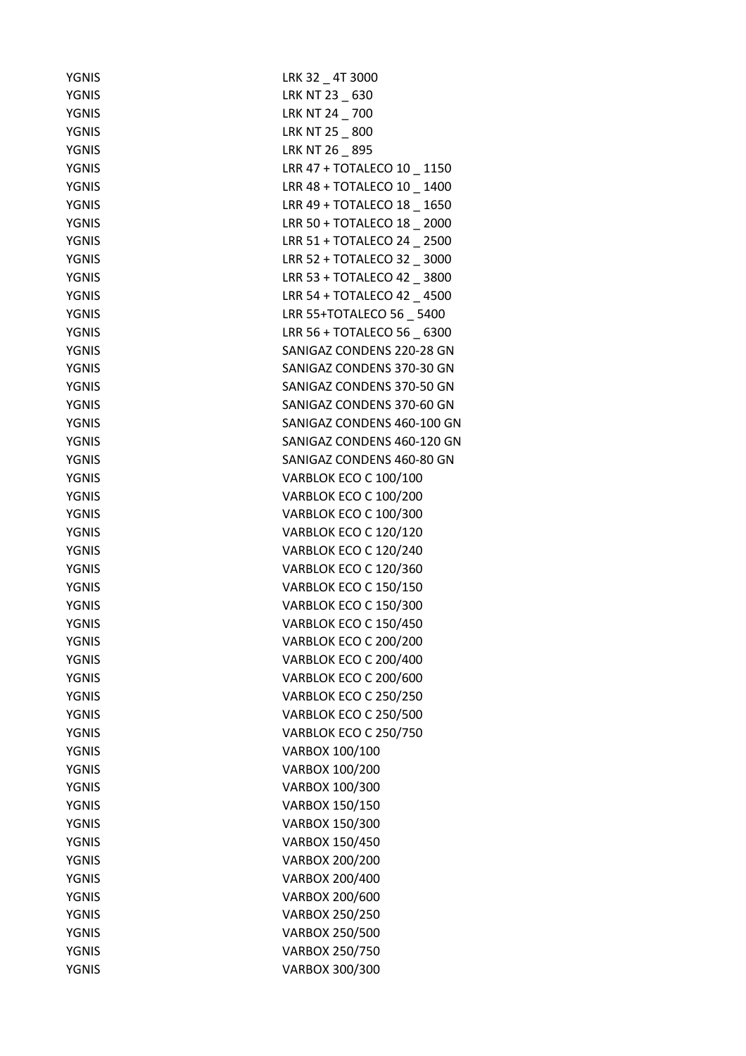| <b>YGNIS</b> | LRK 32 _ 4T 3000             |
|--------------|------------------------------|
| <b>YGNIS</b> | LRK NT 23 _ 630              |
| <b>YGNIS</b> | LRK NT 24 _ 700              |
| <b>YGNIS</b> | LRK NT 25 _ 800              |
| <b>YGNIS</b> | LRK NT 26 _ 895              |
| YGNIS        | LRR 47 + TOTALECO 10 _ 1150  |
| <b>YGNIS</b> | LRR 48 + TOTALECO 10 _ 1400  |
| <b>YGNIS</b> | LRR 49 + TOTALECO 18 _ 1650  |
| <b>YGNIS</b> | LRR 50 + TOTALECO 18 _ 2000  |
| <b>YGNIS</b> | LRR 51 + TOTALECO 24 2500    |
| YGNIS        | LRR 52 + TOTALECO 32 _ 3000  |
| <b>YGNIS</b> | LRR 53 + TOTALECO 42 3800    |
| <b>YGNIS</b> | LRR 54 + TOTALECO 42 4500    |
| <b>YGNIS</b> | LRR 55+TOTALECO 56 5400      |
| <b>YGNIS</b> | LRR 56 + TOTALECO 56 6300    |
| <b>YGNIS</b> | SANIGAZ CONDENS 220-28 GN    |
| <b>YGNIS</b> | SANIGAZ CONDENS 370-30 GN    |
| YGNIS        | SANIGAZ CONDENS 370-50 GN    |
| <b>YGNIS</b> | SANIGAZ CONDENS 370-60 GN    |
| <b>YGNIS</b> | SANIGAZ CONDENS 460-100 GN   |
| <b>YGNIS</b> | SANIGAZ CONDENS 460-120 GN   |
| <b>YGNIS</b> | SANIGAZ CONDENS 460-80 GN    |
| <b>YGNIS</b> | VARBLOK ECO C 100/100        |
| <b>YGNIS</b> | VARBLOK ECO C 100/200        |
| <b>YGNIS</b> | VARBLOK ECO C 100/300        |
| <b>YGNIS</b> | VARBLOK ECO C 120/120        |
| <b>YGNIS</b> | VARBLOK ECO C 120/240        |
| <b>YGNIS</b> | VARBLOK ECO C 120/360        |
| <b>YGNIS</b> | VARBLOK ECO C 150/150        |
| YGNIS        | VARBLOK ECO C 150/300        |
| <b>YGNIS</b> | VARBLOK ECO C 150/450        |
| <b>YGNIS</b> | <b>VARBLOK ECO C 200/200</b> |
| <b>YGNIS</b> | <b>VARBLOK ECO C 200/400</b> |
| <b>YGNIS</b> | <b>VARBLOK ECO C 200/600</b> |
| <b>YGNIS</b> | <b>VARBLOK ECO C 250/250</b> |
| <b>YGNIS</b> | <b>VARBLOK ECO C 250/500</b> |
| <b>YGNIS</b> | <b>VARBLOK ECO C 250/750</b> |
| <b>YGNIS</b> | VARBOX 100/100               |
| <b>YGNIS</b> | VARBOX 100/200               |
| <b>YGNIS</b> | VARBOX 100/300               |
| <b>YGNIS</b> | VARBOX 150/150               |
| <b>YGNIS</b> | VARBOX 150/300               |
| <b>YGNIS</b> | VARBOX 150/450               |
| <b>YGNIS</b> |                              |
|              | VARBOX 200/200               |
| <b>YGNIS</b> | VARBOX 200/400               |
| <b>YGNIS</b> | VARBOX 200/600               |
| <b>YGNIS</b> | VARBOX 250/250               |
| <b>YGNIS</b> | VARBOX 250/500               |
| <b>YGNIS</b> | VARBOX 250/750               |
| <b>YGNIS</b> | VARBOX 300/300               |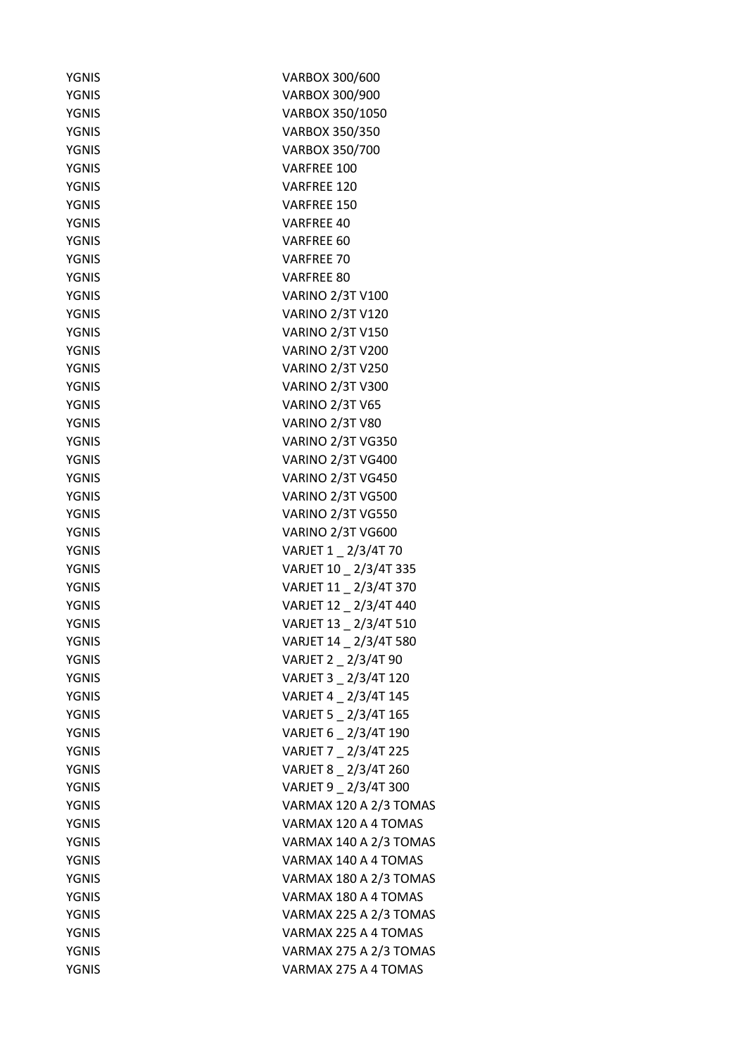| <b>YGNIS</b>                 | VARBOX 300/600           |
|------------------------------|--------------------------|
| <b>YGNIS</b>                 | VARBOX 300/900           |
| <b>YGNIS</b>                 | VARBOX 350/1050          |
| <b>YGNIS</b>                 | VARBOX 350/350           |
| <b>YGNIS</b>                 | VARBOX 350/700           |
| <b>YGNIS</b>                 | VARFREE 100              |
| YGNIS                        | <b>VARFREE 120</b>       |
| <b>YGNIS</b>                 | VARFREE 150              |
| <b>YGNIS</b>                 | <b>VARFREE 40</b>        |
| <b>YGNIS</b>                 | VARFREE 60               |
| YGNIS                        | VARFREE 70               |
| <b>YGNIS</b>                 | VARFREE 80               |
| <b>YGNIS</b>                 | <b>VARINO 2/3T V100</b>  |
| <b>YGNIS</b>                 | <b>VARINO 2/3T V120</b>  |
| <b>YGNIS</b>                 | <b>VARINO 2/3T V150</b>  |
| <b>YGNIS</b>                 | <b>VARINO 2/3T V200</b>  |
| <b>YGNIS</b>                 | <b>VARINO 2/3T V250</b>  |
| <b>YGNIS</b>                 | <b>VARINO 2/3T V300</b>  |
| <b>YGNIS</b>                 | <b>VARINO 2/3T V65</b>   |
| <b>YGNIS</b>                 | <b>VARINO 2/3T V80</b>   |
| YGNIS                        | <b>VARINO 2/3T VG350</b> |
| <b>YGNIS</b>                 | <b>VARINO 2/3T VG400</b> |
| <b>YGNIS</b>                 | <b>VARINO 2/3T VG450</b> |
| <b>YGNIS</b>                 | <b>VARINO 2/3T VG500</b> |
| YGNIS                        | VARINO 2/3T VG550        |
| YGNIS                        | VARINO 2/3T VG600        |
| <b>YGNIS</b>                 | VARJET 1 _ 2/3/4T 70     |
| <b>YGNIS</b>                 | VARJET 10 _ 2/3/4T 335   |
| <b>YGNIS</b>                 | VARJET 11 _ 2/3/4T 370   |
|                              | VARJET 12 _ 2/3/4T 440   |
| YGNIS                        | VARJET 13 2/3/4T 510     |
| <b>YGNIS</b><br><b>YGNIS</b> | VARJET 14 _ 2/3/4T 580   |
|                              |                          |
| <b>YGNIS</b>                 | VARJET 2 2/3/4T 90       |
| <b>YGNIS</b>                 | VARJET 3 2/3/4T 120      |
| <b>YGNIS</b>                 | VARJET 4 _ 2/3/4T 145    |
| <b>YGNIS</b>                 | VARJET 5 _ 2/3/4T 165    |
| YGNIS                        | VARJET 6 _ 2/3/4T 190    |
| <b>YGNIS</b>                 | VARJET 7 2/3/4T 225      |
| <b>YGNIS</b>                 | VARJET 8 2/3/4T 260      |
| <b>YGNIS</b>                 | VARJET 9 _ 2/3/4T 300    |
| <b>YGNIS</b>                 | VARMAX 120 A 2/3 TOMAS   |
| YGNIS                        | VARMAX 120 A 4 TOMAS     |
| <b>YGNIS</b>                 | VARMAX 140 A 2/3 TOMAS   |
| YGNIS                        | VARMAX 140 A 4 TOMAS     |
| <b>YGNIS</b>                 | VARMAX 180 A 2/3 TOMAS   |
| <b>YGNIS</b>                 | VARMAX 180 A 4 TOMAS     |
| YGNIS                        | VARMAX 225 A 2/3 TOMAS   |
| YGNIS                        | VARMAX 225 A 4 TOMAS     |
| <b>YGNIS</b>                 | VARMAX 275 A 2/3 TOMAS   |
| <b>YGNIS</b>                 | VARMAX 275 A 4 TOMAS     |